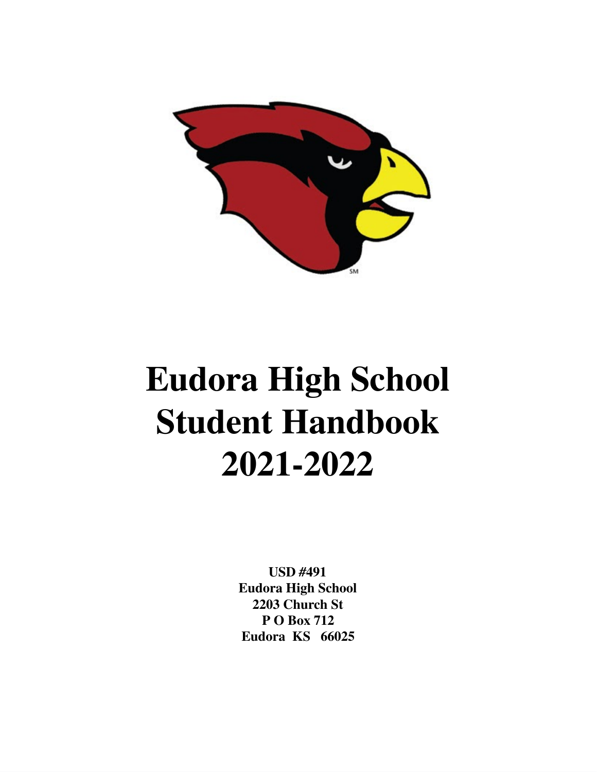

# **Eudora High School Student Handbook 2021-2022**

**USD #491 Eudora High School 2203 Church St P O Box 712 Eudora KS 66025**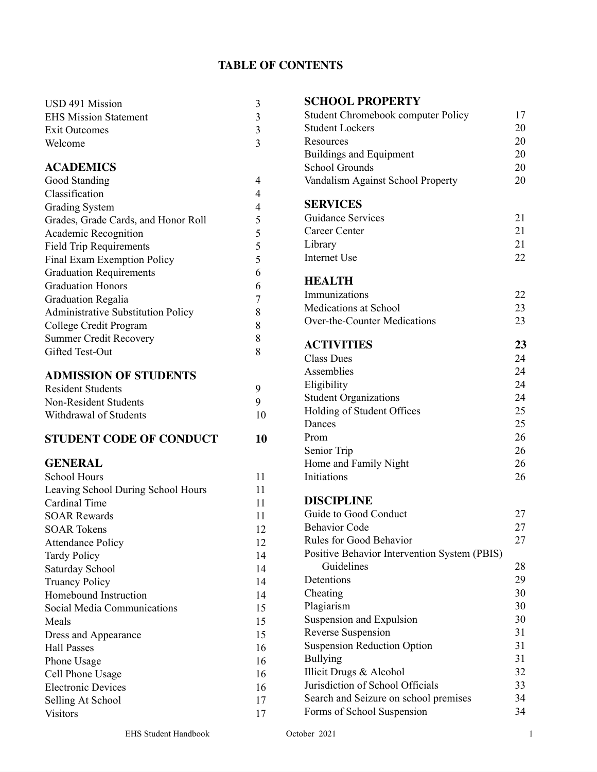# **TABLE OF CONTENTS**

| USD 491 Mission                           | 3                        | <b>SCHOOL PROPERTY</b>                                     |          |
|-------------------------------------------|--------------------------|------------------------------------------------------------|----------|
| <b>EHS Mission Statement</b>              | 3                        | Student Chromebook computer Policy                         | 17       |
| <b>Exit Outcomes</b>                      | 3                        | <b>Student Lockers</b>                                     | 20       |
| Welcome                                   | $\overline{3}$           | Resources                                                  | 20       |
|                                           |                          | <b>Buildings and Equipment</b>                             | 20       |
| <b>ACADEMICS</b>                          |                          | <b>School Grounds</b>                                      | 20       |
| Good Standing                             | $\overline{\mathcal{A}}$ | Vandalism Against School Property                          | 20       |
| Classification                            | 4                        |                                                            |          |
| <b>Grading System</b>                     | 4                        | <b>SERVICES</b>                                            |          |
| Grades, Grade Cards, and Honor Roll       | 5                        | Guidance Services                                          | 21       |
| Academic Recognition                      | 5                        | Career Center                                              | 21       |
| <b>Field Trip Requirements</b>            | 5                        | Library                                                    | 21       |
| Final Exam Exemption Policy               | 5                        | Internet Use                                               | 22       |
| <b>Graduation Requirements</b>            | 6                        |                                                            |          |
| <b>Graduation Honors</b>                  | 6                        | <b>HEALTH</b>                                              |          |
| <b>Graduation Regalia</b>                 | 7                        | Immunizations                                              | 22       |
| <b>Administrative Substitution Policy</b> | 8                        | Medications at School                                      | 23       |
| College Credit Program                    | 8                        | <b>Over-the-Counter Medications</b>                        | 23       |
| <b>Summer Credit Recovery</b>             | 8                        | <b>ACTIVITIES</b>                                          |          |
| Gifted Test-Out                           | 8                        |                                                            | 23       |
|                                           |                          | <b>Class Dues</b><br>Assemblies                            | 24<br>24 |
| <b>ADMISSION OF STUDENTS</b>              |                          |                                                            | 24       |
| <b>Resident Students</b>                  | 9                        | Eligibility                                                | 24       |
| Non-Resident Students                     | 9                        | <b>Student Organizations</b>                               |          |
| Withdrawal of Students                    | 10                       | Holding of Student Offices<br>Dances                       | 25<br>25 |
|                                           |                          |                                                            |          |
|                                           |                          |                                                            |          |
| <b>STUDENT CODE OF CONDUCT</b>            | 10                       | Prom                                                       | 26       |
|                                           |                          | Senior Trip                                                | 26       |
| <b>GENERAL</b>                            |                          | Home and Family Night                                      | 26       |
| School Hours                              | 11                       | Initiations                                                | 26       |
| Leaving School During School Hours        | 11                       |                                                            |          |
| Cardinal Time                             | 11                       | <b>DISCIPLINE</b>                                          |          |
| <b>SOAR Rewards</b>                       | 11                       | Guide to Good Conduct<br><b>Behavior</b> Code              | 27       |
| <b>SOAR Tokens</b>                        | 12                       |                                                            | 27       |
| <b>Attendance Policy</b>                  | 12                       | Rules for Good Behavior                                    | 27       |
| <b>Tardy Policy</b>                       | 14                       | Positive Behavior Intervention System (PBIS)<br>Guidelines |          |
| Saturday School                           | 14                       | Detentions                                                 | 28       |
| <b>Truancy Policy</b>                     | 14                       |                                                            | 29       |
| Homebound Instruction                     | 14                       | Cheating                                                   | 30<br>30 |
| Social Media Communications               | 15                       | Plagiarism                                                 | 30       |
| Meals                                     | 15                       | Suspension and Expulsion                                   | 31       |
| Dress and Appearance                      | 15                       | Reverse Suspension                                         | 31       |
| <b>Hall Passes</b>                        | 16                       | <b>Suspension Reduction Option</b><br><b>Bullying</b>      | 31       |
| Phone Usage                               | 16                       | Illicit Drugs & Alcohol                                    | 32       |
| Cell Phone Usage                          | 16                       | Jurisdiction of School Officials                           | 33       |
| <b>Electronic Devices</b>                 | 16                       | Search and Seizure on school premises                      | 34       |
| Selling At School<br><b>Visitors</b>      | 17<br>17                 | Forms of School Suspension                                 | 34       |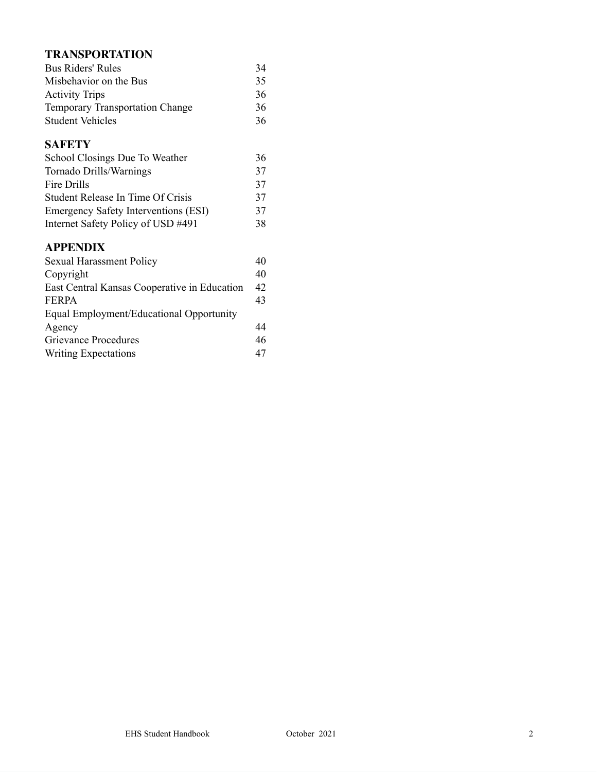# **TRANSPORTATION**

| <b>Bus Riders' Rules</b>               | 34 |
|----------------------------------------|----|
| Misbehavior on the Bus                 | 35 |
| <b>Activity Trips</b>                  | 36 |
| <b>Temporary Transportation Change</b> | 36 |
| <b>Student Vehicles</b>                | 36 |

# **SAFETY**

| School Closings Due To Weather       | 36 |
|--------------------------------------|----|
| Tornado Drills/Warnings              | 37 |
| Fire Drills                          | 37 |
| Student Release In Time Of Crisis    | 37 |
| Emergency Safety Interventions (ESI) | 37 |
| Internet Safety Policy of USD #491   | 38 |

# **APPENDIX**

| <b>Sexual Harassment Policy</b>              | 40 |
|----------------------------------------------|----|
| Copyright                                    | 40 |
| East Central Kansas Cooperative in Education | 42 |
| <b>FERPA</b>                                 | 43 |
| Equal Employment/Educational Opportunity     |    |
| Agency                                       | 44 |
| Grievance Procedures                         | 46 |
| Writing Expectations                         | 47 |
|                                              |    |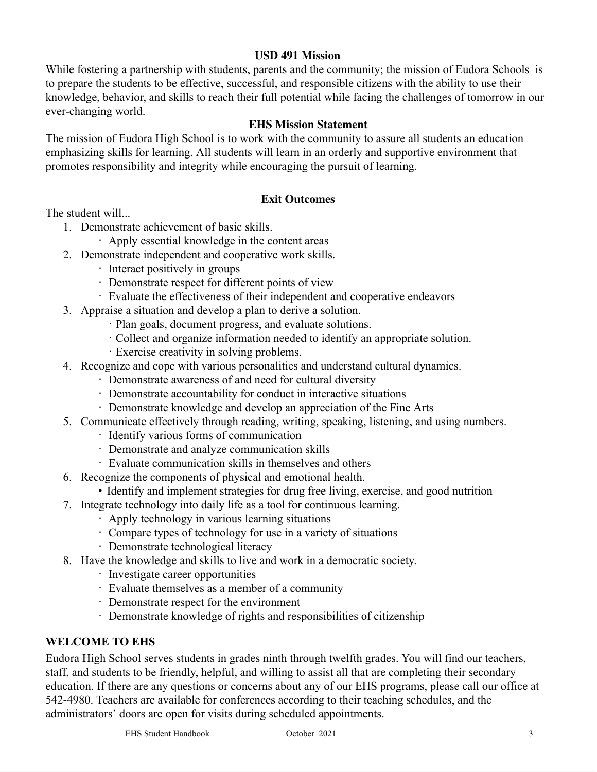## **USD 491 Mission**

While fostering a partnership with students, parents and the community; the mission of Eudora Schools is to prepare the students to be effective, successful, and responsible citizens with the ability to use their knowledge, behavior, and skills to reach their full potential while facing the challenges of tomorrow in our ever-changing world.

## **EHS Mission Statement**

The mission of Eudora High School is to work with the community to assure all students an education emphasizing skills for learning. All students will learn in an orderly and supportive environment that promotes responsibility and integrity while encouraging the pursuit of learning.

## **Exit Outcomes**

The student will...

- 1. Demonstrate achievement of basic skills.
	- · Apply essential knowledge in the content areas
- 2. Demonstrate independent and cooperative work skills.
	- · Interact positively in groups
	- · Demonstrate respect for different points of view
		- · Evaluate the effectiveness of their independent and cooperative endeavors
- 3. Appraise a situation and develop a plan to derive a solution.
	- · Plan goals, document progress, and evaluate solutions.
	- · Collect and organize information needed to identify an appropriate solution.
	- · Exercise creativity in solving problems.
- 4. Recognize and cope with various personalities and understand cultural dynamics.
	- · Demonstrate awareness of and need for cultural diversity
	- · Demonstrate accountability for conduct in interactive situations
	- · Demonstrate knowledge and develop an appreciation of the Fine Arts
- 5. Communicate effectively through reading, writing, speaking, listening, and using numbers.
	- · Identify various forms of communication
	- · Demonstrate and analyze communication skills
	- · Evaluate communication skills in themselves and others
- 6. Recognize the components of physical and emotional health.
	- Identify and implement strategies for drug free living, exercise, and good nutrition
- 7. Integrate technology into daily life as a tool for continuous learning.
	- · Apply technology in various learning situations
	- · Compare types of technology for use in a variety of situations
	- · Demonstrate technological literacy
- 8. Have the knowledge and skills to live and work in a democratic society.
	- · Investigate career opportunities
	- · Evaluate themselves as a member of a community
	- · Demonstrate respect for the environment
	- · Demonstrate knowledge of rights and responsibilities of citizenship

# **WELCOME TO EHS**

Eudora High School serves students in grades ninth through twelfth grades. You will find our teachers, staff, and students to be friendly, helpful, and willing to assist all that are completing their secondary education. If there are any questions or concerns about any of our EHS programs, please call our office at 542-4980. Teachers are available for conferences according to their teaching schedules, and the administrators' doors are open for visits during scheduled appointments.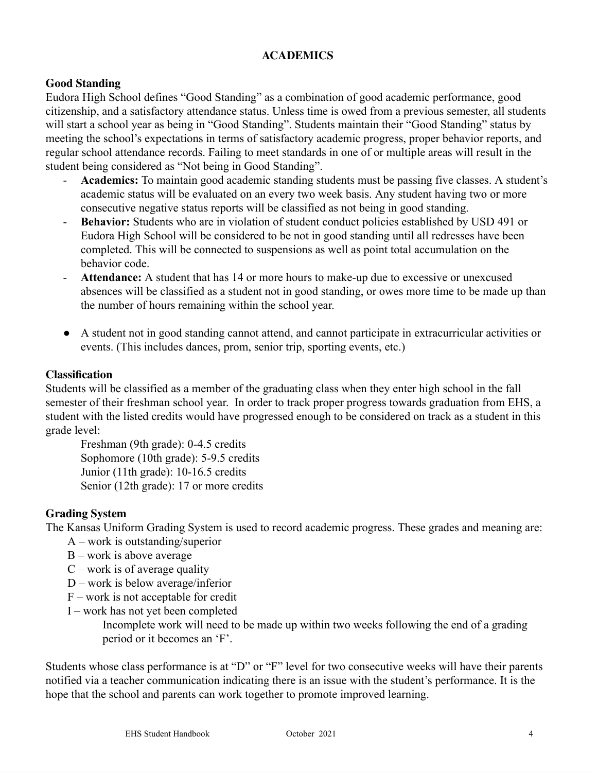## **ACADEMICS**

## **Good Standing**

Eudora High School defines "Good Standing" as a combination of good academic performance, good citizenship, and a satisfactory attendance status. Unless time is owed from a previous semester, all students will start a school year as being in "Good Standing". Students maintain their "Good Standing" status by meeting the school's expectations in terms of satisfactory academic progress, proper behavior reports, and regular school attendance records. Failing to meet standards in one of or multiple areas will result in the student being considered as "Not being in Good Standing".

- **Academics:** To maintain good academic standing students must be passing five classes. A student's academic status will be evaluated on an every two week basis. Any student having two or more consecutive negative status reports will be classified as not being in good standing.
- **Behavior:** Students who are in violation of student conduct policies established by USD 491 or Eudora High School will be considered to be not in good standing until all redresses have been completed. This will be connected to suspensions as well as point total accumulation on the behavior code.
- Attendance: A student that has 14 or more hours to make-up due to excessive or unexcused absences will be classified as a student not in good standing, or owes more time to be made up than the number of hours remaining within the school year.
- A student not in good standing cannot attend, and cannot participate in extracurricular activities or events. (This includes dances, prom, senior trip, sporting events, etc.)

#### **Classification**

Students will be classified as a member of the graduating class when they enter high school in the fall semester of their freshman school year. In order to track proper progress towards graduation from EHS, a student with the listed credits would have progressed enough to be considered on track as a student in this grade level:

Freshman (9th grade): 0-4.5 credits Sophomore (10th grade): 5-9.5 credits Junior (11th grade): 10-16.5 credits Senior (12th grade): 17 or more credits

## **Grading System**

The Kansas Uniform Grading System is used to record academic progress. These grades and meaning are:

- A work is outstanding/superior
- $B$  work is above average
- $C$  work is of average quality
- D work is below average/inferior
- F work is not acceptable for credit
- I work has not yet been completed

Incomplete work will need to be made up within two weeks following the end of a grading period or it becomes an 'F'.

Students whose class performance is at "D" or "F" level for two consecutive weeks will have their parents notified via a teacher communication indicating there is an issue with the student's performance. It is the hope that the school and parents can work together to promote improved learning.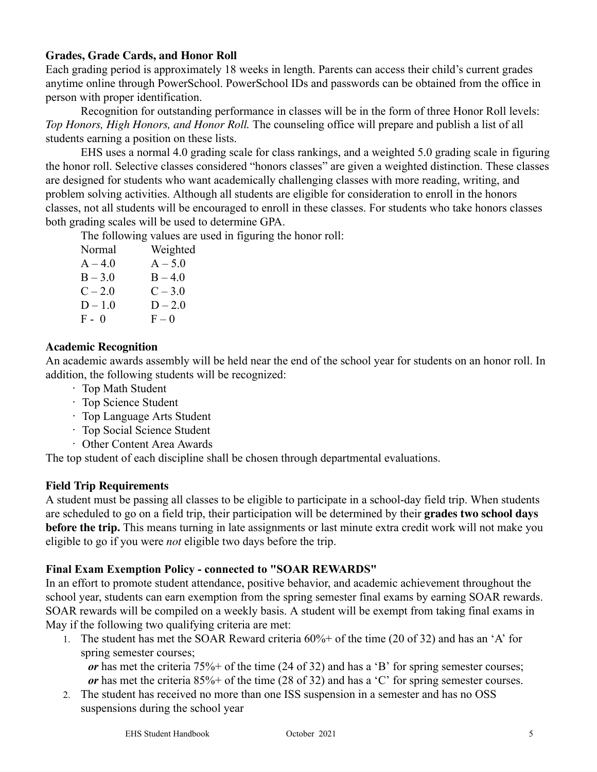## **Grades, Grade Cards, and Honor Roll**

Each grading period is approximately 18 weeks in length. Parents can access their child's current grades anytime online through PowerSchool. PowerSchool IDs and passwords can be obtained from the office in person with proper identification.

Recognition for outstanding performance in classes will be in the form of three Honor Roll levels: *Top Honors, High Honors, and Honor Roll.* The counseling office will prepare and publish a list of all students earning a position on these lists.

EHS uses a normal 4.0 grading scale for class rankings, and a weighted 5.0 grading scale in figuring the honor roll. Selective classes considered "honors classes" are given a weighted distinction. These classes are designed for students who want academically challenging classes with more reading, writing, and problem solving activities. Although all students are eligible for consideration to enroll in the honors classes, not all students will be encouraged to enroll in these classes. For students who take honors classes both grading scales will be used to determine GPA.

The following values are used in figuring the honor roll:

| Weighted  |
|-----------|
| $A - 5.0$ |
| $B - 4.0$ |
| $C - 3.0$ |
| $D - 2.0$ |
| $F - 0$   |
|           |

#### **Academic Recognition**

An academic awards assembly will be held near the end of the school year for students on an honor roll. In addition, the following students will be recognized:

- · Top Math Student
- · Top Science Student
- · Top Language Arts Student
- · Top Social Science Student
- · Other Content Area Awards

The top student of each discipline shall be chosen through departmental evaluations.

## **Field Trip Requirements**

A student must be passing all classes to be eligible to participate in a school-day field trip. When students are scheduled to go on a field trip, their participation will be determined by their **grades two school days before the trip.** This means turning in late assignments or last minute extra credit work will not make you eligible to go if you were *not* eligible two days before the trip.

## **Final Exam Exemption Policy - connected to "SOAR REWARDS"**

In an effort to promote student attendance, positive behavior, and academic achievement throughout the school year, students can earn exemption from the spring semester final exams by earning SOAR rewards. SOAR rewards will be compiled on a weekly basis. A student will be exempt from taking final exams in May if the following two qualifying criteria are met:

1. The student has met the SOAR Reward criteria 60%+ of the time (20 of 32) and has an 'A' for spring semester courses;

*or* has met the criteria 75%+ of the time (24 of 32) and has a 'B' for spring semester courses; *or* has met the criteria 85%+ of the time (28 of 32) and has a 'C' for spring semester courses.

2. The student has received no more than one ISS suspension in a semester and has no OSS suspensions during the school year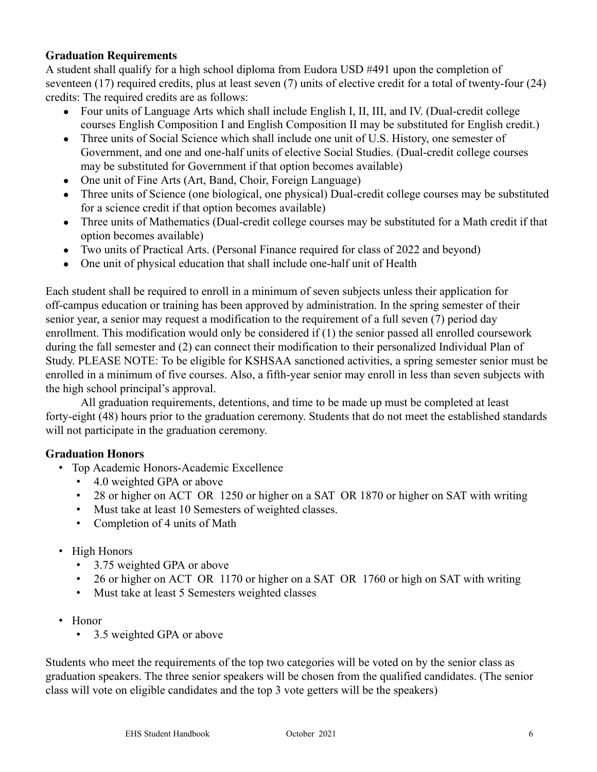## **Graduation Requirements**

A student shall qualify for a high school diploma from Eudora USD #491 upon the completion of seventeen (17) required credits, plus at least seven (7) units of elective credit for a total of twenty-four (24) credits: The required credits are as follows:

- Four units of Language Arts which shall include English I, II, III, and IV. (Dual-credit college courses English Composition I and English Composition II may be substituted for English credit.)
- Three units of Social Science which shall include one unit of U.S. History, one semester of Government, and one and one-half units of elective Social Studies. (Dual-credit college courses may be substituted for Government if that option becomes available)
- One unit of Fine Arts (Art, Band, Choir, Foreign Language)
- Three units of Science (one biological, one physical) Dual-credit college courses may be substituted for a science credit if that option becomes available)
- Three units of Mathematics (Dual-credit college courses may be substituted for a Math credit if that option becomes available)
- Two units of Practical Arts. (Personal Finance required for class of 2022 and beyond)
- One unit of physical education that shall include one-half unit of Health

Each student shall be required to enroll in a minimum of seven subjects unless their application for off-campus education or training has been approved by administration. In the spring semester of their senior year, a senior may request a modification to the requirement of a full seven (7) period day enrollment. This modification would only be considered if (1) the senior passed all enrolled coursework during the fall semester and (2) can connect their modification to their personalized Individual Plan of Study. PLEASE NOTE: To be eligible for KSHSAA sanctioned activities, a spring semester senior must be enrolled in a minimum of five courses. Also, a fifth-year senior may enroll in less than seven subjects with the high school principal's approval.

All graduation requirements, detentions, and time to be made up must be completed at least forty-eight (48) hours prior to the graduation ceremony. Students that do not meet the established standards will not participate in the graduation ceremony.

## **Graduation Honors**

- Top Academic Honors-Academic Excellence
	- 4.0 weighted GPA or above
	- 28 or higher on ACT OR 1250 or higher on a SAT OR 1870 or higher on SAT with writing
	- Must take at least 10 Semesters of weighted classes.
	- Completion of 4 units of Math
- High Honors
	- 3.75 weighted GPA or above
	- 26 or higher on ACT OR 1170 or higher on a SAT OR 1760 or high on SAT with writing
	- Must take at least 5 Semesters weighted classes
- Honor
	- 3.5 weighted GPA or above

Students who meet the requirements of the top two categories will be voted on by the senior class as graduation speakers. The three senior speakers will be chosen from the qualified candidates. (The senior class will vote on eligible candidates and the top 3 vote getters will be the speakers)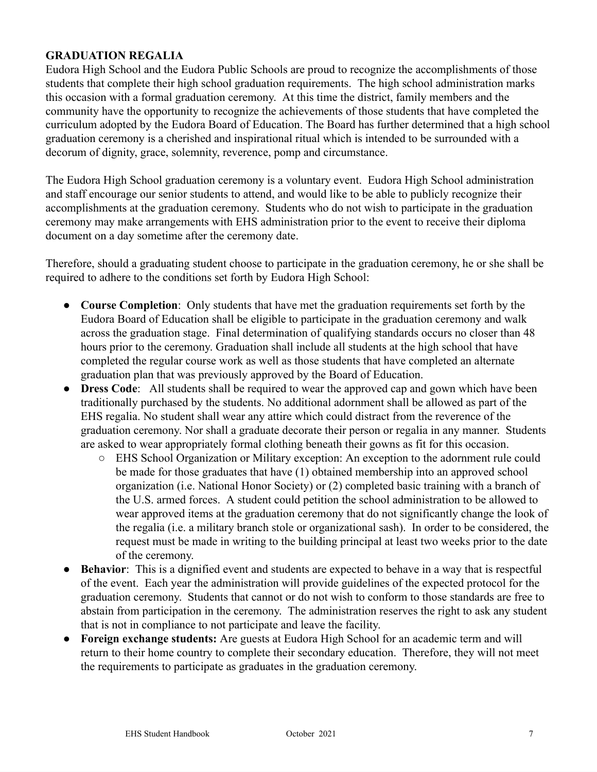## **GRADUATION REGALIA**

Eudora High School and the Eudora Public Schools are proud to recognize the accomplishments of those students that complete their high school graduation requirements. The high school administration marks this occasion with a formal graduation ceremony. At this time the district, family members and the community have the opportunity to recognize the achievements of those students that have completed the curriculum adopted by the Eudora Board of Education. The Board has further determined that a high school graduation ceremony is a cherished and inspirational ritual which is intended to be surrounded with a decorum of dignity, grace, solemnity, reverence, pomp and circumstance.

The Eudora High School graduation ceremony is a voluntary event. Eudora High School administration and staff encourage our senior students to attend, and would like to be able to publicly recognize their accomplishments at the graduation ceremony. Students who do not wish to participate in the graduation ceremony may make arrangements with EHS administration prior to the event to receive their diploma document on a day sometime after the ceremony date.

Therefore, should a graduating student choose to participate in the graduation ceremony, he or she shall be required to adhere to the conditions set forth by Eudora High School:

- **Course Completion**: Only students that have met the graduation requirements set forth by the Eudora Board of Education shall be eligible to participate in the graduation ceremony and walk across the graduation stage. Final determination of qualifying standards occurs no closer than 48 hours prior to the ceremony. Graduation shall include all students at the high school that have completed the regular course work as well as those students that have completed an alternate graduation plan that was previously approved by the Board of Education.
- **Dress Code:** All students shall be required to wear the approved cap and gown which have been traditionally purchased by the students. No additional adornment shall be allowed as part of the EHS regalia. No student shall wear any attire which could distract from the reverence of the graduation ceremony. Nor shall a graduate decorate their person or regalia in any manner. Students are asked to wear appropriately formal clothing beneath their gowns as fit for this occasion.
	- EHS School Organization or Military exception: An exception to the adornment rule could be made for those graduates that have (1) obtained membership into an approved school organization (i.e. National Honor Society) or (2) completed basic training with a branch of the U.S. armed forces. A student could petition the school administration to be allowed to wear approved items at the graduation ceremony that do not significantly change the look of the regalia (i.e. a military branch stole or organizational sash). In order to be considered, the request must be made in writing to the building principal at least two weeks prior to the date of the ceremony.
- **Behavior**: This is a dignified event and students are expected to behave in a way that is respectful of the event. Each year the administration will provide guidelines of the expected protocol for the graduation ceremony. Students that cannot or do not wish to conform to those standards are free to abstain from participation in the ceremony. The administration reserves the right to ask any student that is not in compliance to not participate and leave the facility.
- **Foreign exchange students:** Are guests at Eudora High School for an academic term and will return to their home country to complete their secondary education. Therefore, they will not meet the requirements to participate as graduates in the graduation ceremony.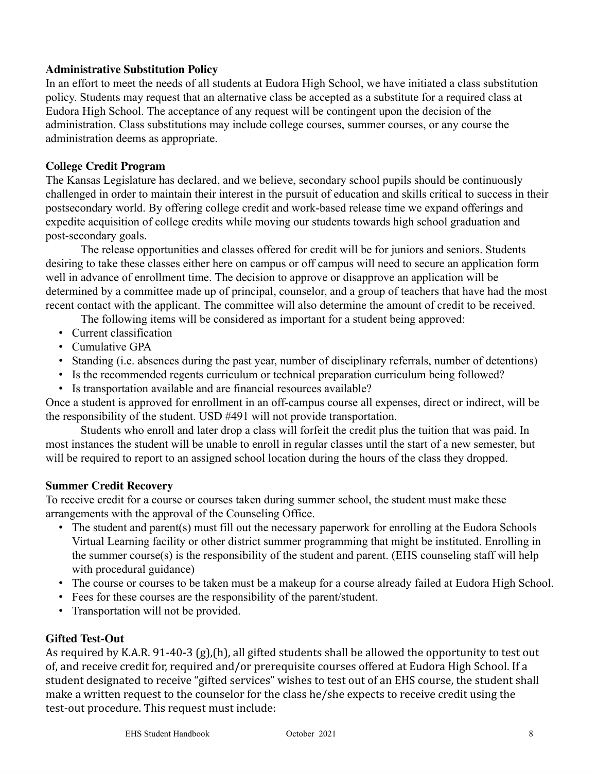## **Administrative Substitution Policy**

In an effort to meet the needs of all students at Eudora High School, we have initiated a class substitution policy. Students may request that an alternative class be accepted as a substitute for a required class at Eudora High School. The acceptance of any request will be contingent upon the decision of the administration. Class substitutions may include college courses, summer courses, or any course the administration deems as appropriate.

## **College Credit Program**

The Kansas Legislature has declared, and we believe, secondary school pupils should be continuously challenged in order to maintain their interest in the pursuit of education and skills critical to success in their postsecondary world. By offering college credit and work-based release time we expand offerings and expedite acquisition of college credits while moving our students towards high school graduation and post-secondary goals.

The release opportunities and classes offered for credit will be for juniors and seniors. Students desiring to take these classes either here on campus or off campus will need to secure an application form well in advance of enrollment time. The decision to approve or disapprove an application will be determined by a committee made up of principal, counselor, and a group of teachers that have had the most recent contact with the applicant. The committee will also determine the amount of credit to be received.

The following items will be considered as important for a student being approved:

- Current classification
- Cumulative GPA
- Standing (i.e. absences during the past year, number of disciplinary referrals, number of detentions)
- Is the recommended regents curriculum or technical preparation curriculum being followed?
- Is transportation available and are financial resources available?

Once a student is approved for enrollment in an off-campus course all expenses, direct or indirect, will be the responsibility of the student. USD #491 will not provide transportation.

Students who enroll and later drop a class will forfeit the credit plus the tuition that was paid. In most instances the student will be unable to enroll in regular classes until the start of a new semester, but will be required to report to an assigned school location during the hours of the class they dropped.

## **Summer Credit Recovery**

To receive credit for a course or courses taken during summer school, the student must make these arrangements with the approval of the Counseling Office.

- The student and parent(s) must fill out the necessary paperwork for enrolling at the Eudora Schools Virtual Learning facility or other district summer programming that might be instituted. Enrolling in the summer course(s) is the responsibility of the student and parent. (EHS counseling staff will help with procedural guidance)
- The course or courses to be taken must be a makeup for a course already failed at Eudora High School.
- Fees for these courses are the responsibility of the parent/student.
- Transportation will not be provided.

# **Gifted Test-Out**

As required by K.A.R. 91-40-3 (g),(h), all gifted students shall be allowed the opportunity to test out of, and receive credit for, required and/or prerequisite courses offered at Eudora High School. If a student designated to receive "gifted services" wishes to test out of an EHS course, the student shall make a written request to the counselor for the class he/she expects to receive credit using the test-out procedure. This request must include: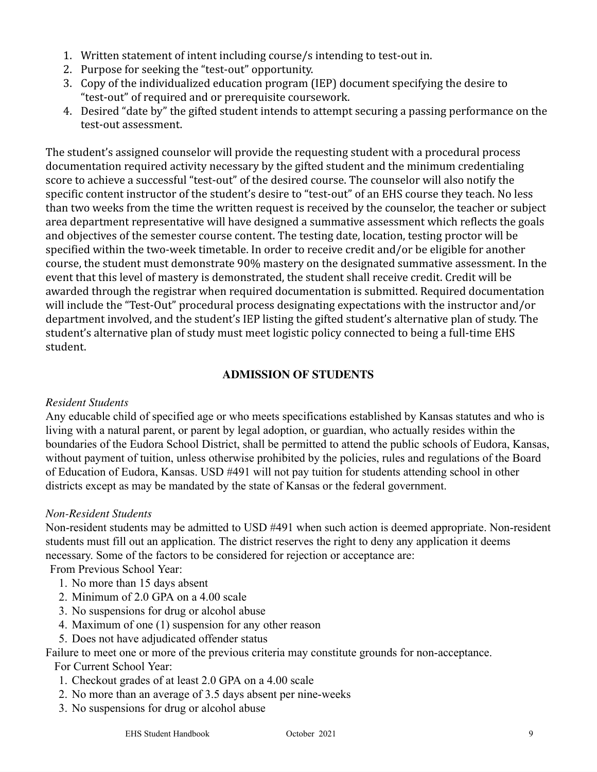- 1. Written statement of intent including course/s intending to test-out in.
- 2. Purpose for seeking the "test-out" opportunity.
- 3. Copy of the individualized education program (IEP) document specifying the desire to "test-out" of required and or prerequisite coursework.
- 4. Desired "date by" the gifted student intends to attempt securing a passing performance on the test-out assessment.

The student's assigned counselor will provide the requesting student with a procedural process documentation required activity necessary by the gifted student and the minimum credentialing score to achieve a successful "test-out" of the desired course. The counselor will also notify the specific content instructor of the student's desire to "test-out" of an EHS course they teach. No less than two weeks from the time the written request is received by the counselor, the teacher or subject area department representative will have designed a summative assessment which reflects the goals and objectives of the semester course content. The testing date, location, testing proctor will be specified within the two-week timetable. In order to receive credit and/or be eligible for another course, the student must demonstrate 90% mastery on the designated summative assessment. In the event that this level of mastery is demonstrated, the student shall receive credit. Credit will be awarded through the registrar when required documentation is submitted. Required documentation will include the "Test-Out" procedural process designating expectations with the instructor and/or department involved, and the student's IEP listing the gifted student's alternative plan of study. The student's alternative plan of study must meet logistic policy connected to being a full-time EHS student.

## **ADMISSION OF STUDENTS**

## *Resident Students*

Any educable child of specified age or who meets specifications established by Kansas statutes and who is living with a natural parent, or parent by legal adoption, or guardian, who actually resides within the boundaries of the Eudora School District, shall be permitted to attend the public schools of Eudora, Kansas, without payment of tuition, unless otherwise prohibited by the policies, rules and regulations of the Board of Education of Eudora, Kansas. USD #491 will not pay tuition for students attending school in other districts except as may be mandated by the state of Kansas or the federal government.

#### *Non-Resident Students*

Non-resident students may be admitted to USD #491 when such action is deemed appropriate. Non-resident students must fill out an application. The district reserves the right to deny any application it deems necessary. Some of the factors to be considered for rejection or acceptance are:

From Previous School Year:

- 1. No more than 15 days absent
- 2. Minimum of 2.0 GPA on a 4.00 scale
- 3. No suspensions for drug or alcohol abuse
- 4. Maximum of one (1) suspension for any other reason
- 5. Does not have adjudicated offender status

Failure to meet one or more of the previous criteria may constitute grounds for non-acceptance.

For Current School Year:

- 1. Checkout grades of at least 2.0 GPA on a 4.00 scale
- 2. No more than an average of 3.5 days absent per nine-weeks
- 3. No suspensions for drug or alcohol abuse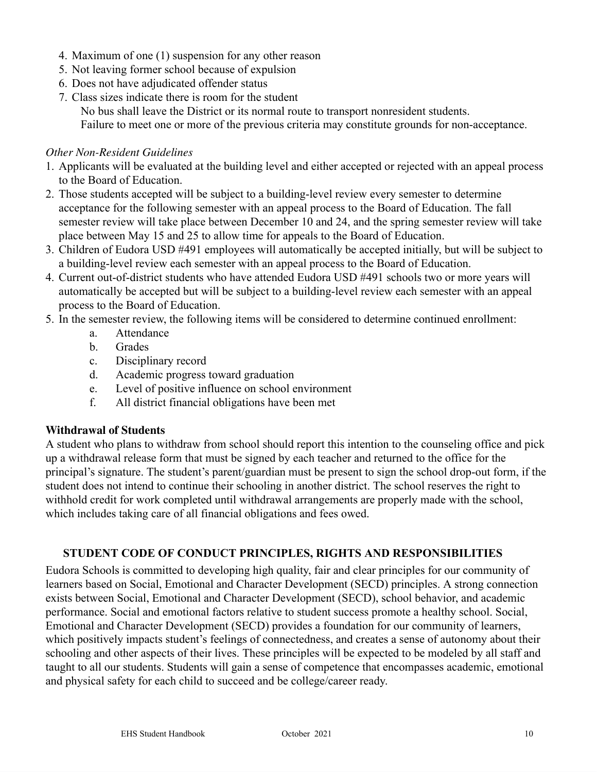- 4. Maximum of one (1) suspension for any other reason
- 5. Not leaving former school because of expulsion
- 6. Does not have adjudicated offender status
- 7. Class sizes indicate there is room for the student

No bus shall leave the District or its normal route to transport nonresident students.

Failure to meet one or more of the previous criteria may constitute grounds for non-acceptance.

#### *Other Non-Resident Guidelines*

- 1. Applicants will be evaluated at the building level and either accepted or rejected with an appeal process to the Board of Education.
- 2. Those students accepted will be subject to a building-level review every semester to determine acceptance for the following semester with an appeal process to the Board of Education. The fall semester review will take place between December 10 and 24, and the spring semester review will take place between May 15 and 25 to allow time for appeals to the Board of Education.
- 3. Children of Eudora USD #491 employees will automatically be accepted initially, but will be subject to a building-level review each semester with an appeal process to the Board of Education.
- 4. Current out-of-district students who have attended Eudora USD #491 schools two or more years will automatically be accepted but will be subject to a building-level review each semester with an appeal process to the Board of Education.
- 5. In the semester review, the following items will be considered to determine continued enrollment:
	- a. Attendance
	- b. Grades
	- c. Disciplinary record
	- d. Academic progress toward graduation
	- e. Level of positive influence on school environment
	- f. All district financial obligations have been met

## **Withdrawal of Students**

A student who plans to withdraw from school should report this intention to the counseling office and pick up a withdrawal release form that must be signed by each teacher and returned to the office for the principal's signature. The student's parent/guardian must be present to sign the school drop-out form, if the student does not intend to continue their schooling in another district. The school reserves the right to withhold credit for work completed until withdrawal arrangements are properly made with the school, which includes taking care of all financial obligations and fees owed.

## **STUDENT CODE OF CONDUCT PRINCIPLES, RIGHTS AND RESPONSIBILITIES**

Eudora Schools is committed to developing high quality, fair and clear principles for our community of learners based on Social, Emotional and Character Development (SECD) principles. A strong connection exists between Social, Emotional and Character Development (SECD), school behavior, and academic performance. Social and emotional factors relative to student success promote a healthy school. Social, Emotional and Character Development (SECD) provides a foundation for our community of learners, which positively impacts student's feelings of connectedness, and creates a sense of autonomy about their schooling and other aspects of their lives. These principles will be expected to be modeled by all staff and taught to all our students. Students will gain a sense of competence that encompasses academic, emotional and physical safety for each child to succeed and be college/career ready.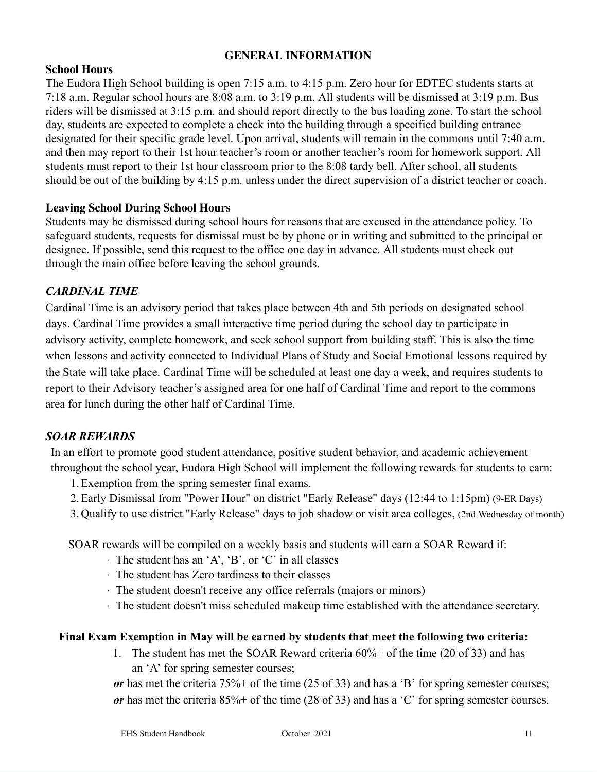## **GENERAL INFORMATION**

## **School Hours**

The Eudora High School building is open 7:15 a.m. to 4:15 p.m. Zero hour for EDTEC students starts at 7:18 a.m. Regular school hours are 8:08 a.m. to 3:19 p.m. All students will be dismissed at 3:19 p.m. Bus riders will be dismissed at 3:15 p.m. and should report directly to the bus loading zone. To start the school day, students are expected to complete a check into the building through a specified building entrance designated for their specific grade level. Upon arrival, students will remain in the commons until 7:40 a.m. and then may report to their 1st hour teacher's room or another teacher's room for homework support. All students must report to their 1st hour classroom prior to the 8:08 tardy bell. After school, all students should be out of the building by 4:15 p.m. unless under the direct supervision of a district teacher or coach.

## **Leaving School During School Hours**

Students may be dismissed during school hours for reasons that are excused in the attendance policy. To safeguard students, requests for dismissal must be by phone or in writing and submitted to the principal or designee. If possible, send this request to the office one day in advance. All students must check out through the main office before leaving the school grounds.

## *CARDINAL TIME*

Cardinal Time is an advisory period that takes place between 4th and 5th periods on designated school days. Cardinal Time provides a small interactive time period during the school day to participate in advisory activity, complete homework, and seek school support from building staff. This is also the time when lessons and activity connected to Individual Plans of Study and Social Emotional lessons required by the State will take place. Cardinal Time will be scheduled at least one day a week, and requires students to report to their Advisory teacher's assigned area for one half of Cardinal Time and report to the commons area for lunch during the other half of Cardinal Time.

## *SOAR REWARDS*

In an effort to promote good student attendance, positive student behavior, and academic achievement throughout the school year, Eudora High School will implement the following rewards for students to earn:

- 1.Exemption from the spring semester final exams.
- 2.Early Dismissal from "Power Hour" on district "Early Release" days (12:44 to 1:15pm) (9-ER Days)
- 3. Qualify to use district "Early Release" days to job shadow or visit area colleges, (2nd Wednesday of month)

SOAR rewards will be compiled on a weekly basis and students will earn a SOAR Reward if:

- · The student has an 'A', 'B', or 'C' in all classes
- · The student has Zero tardiness to their classes
- · The student doesn't receive any office referrals (majors or minors)
- · The student doesn't miss scheduled makeup time established with the attendance secretary.

#### **Final Exam Exemption in May will be earned by students that meet the following two criteria:**

1. The student has met the SOAR Reward criteria 60%+ of the time (20 of 33) and has an 'A' for spring semester courses;

*or* has met the criteria 75%+ of the time (25 of 33) and has a 'B' for spring semester courses; *or* has met the criteria 85%+ of the time (28 of 33) and has a 'C' for spring semester courses.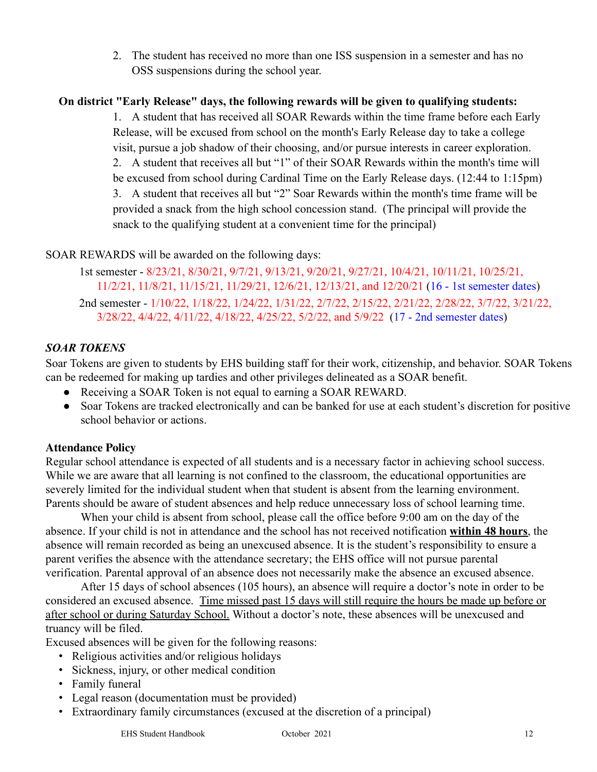2. The student has received no more than one ISS suspension in a semester and has no OSS suspensions during the school year.

## **On district "Early Release" days, the following rewards will be given to qualifying students:**

1. A student that has received all SOAR Rewards within the time frame before each Early Release, will be excused from school on the month's Early Release day to take a college visit, pursue a job shadow of their choosing, and/or pursue interests in career exploration. 2. A student that receives all but "1" of their SOAR Rewards within the month's time will be excused from school during Cardinal Time on the Early Release days. (12:44 to 1:15pm) 3. A student that receives all but "2" Soar Rewards within the month's time frame will be provided a snack from the high school concession stand. (The principal will provide the snack to the qualifying student at a convenient time for the principal)

## SOAR REWARDS will be awarded on the following days:

1st semester - 8/23/21, 8/30/21, 9/7/21, 9/13/21, 9/20/21, 9/27/21, 10/4/21, 10/11/21, 10/25/21, 11/2/21, 11/8/21, 11/15/21, 11/29/21, 12/6/21, 12/13/21, and 12/20/21 (16 - 1st semester dates) 2nd semester - 1/10/22, 1/18/22, 1/24/22, 1/31/22, 2/7/22, 2/15/22, 2/21/22, 2/28/22, 3/7/22, 3/21/22, 3/28/22, 4/4/22, 4/11/22, 4/18/22, 4/25/22, 5/2/22, and 5/9/22 (17 - 2nd semester dates)

# *SOAR TOKENS*

Soar Tokens are given to students by EHS building staff for their work, citizenship, and behavior. SOAR Tokens can be redeemed for making up tardies and other privileges delineated as a SOAR benefit.

- Receiving a SOAR Token is not equal to earning a SOAR REWARD.
- Soar Tokens are tracked electronically and can be banked for use at each student's discretion for positive school behavior or actions.

## **Attendance Policy**

Regular school attendance is expected of all students and is a necessary factor in achieving school success. While we are aware that all learning is not confined to the classroom, the educational opportunities are severely limited for the individual student when that student is absent from the learning environment. Parents should be aware of student absences and help reduce unnecessary loss of school learning time.

When your child is absent from school, please call the office before 9:00 am on the day of the absence. If your child is not in attendance and the school has not received notification **within 48 hours**, the absence will remain recorded as being an unexcused absence. It is the student's responsibility to ensure a parent verifies the absence with the attendance secretary; the EHS office will not pursue parental verification. Parental approval of an absence does not necessarily make the absence an excused absence.

After 15 days of school absences (105 hours), an absence will require a doctor's note in order to be considered an excused absence. Time missed past 15 days will still require the hours be made up before or after school or during Saturday School. Without a doctor's note, these absences will be unexcused and truancy will be filed.

Excused absences will be given for the following reasons:

- Religious activities and/or religious holidays
- Sickness, injury, or other medical condition
- Family funeral
- Legal reason (documentation must be provided)
- Extraordinary family circumstances (excused at the discretion of a principal)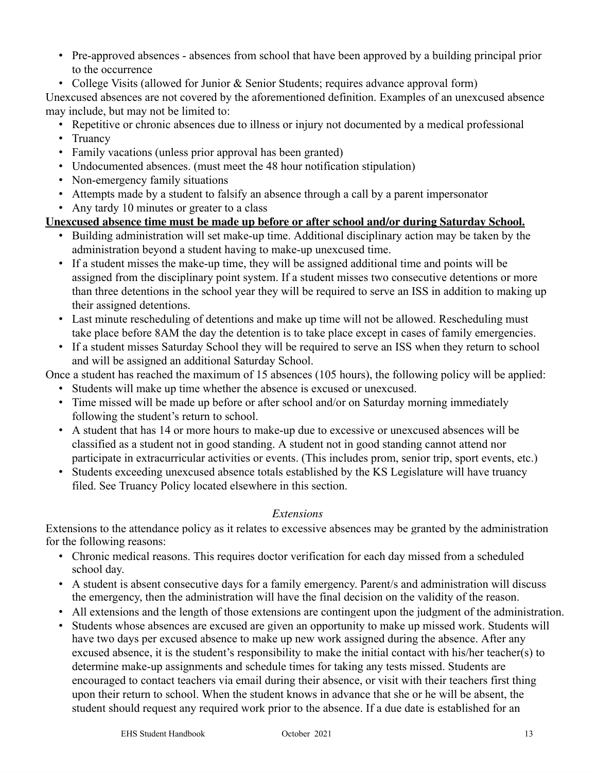- Pre-approved absences absences from school that have been approved by a building principal prior to the occurrence
- College Visits (allowed for Junior & Senior Students; requires advance approval form)

Unexcused absences are not covered by the aforementioned definition. Examples of an unexcused absence may include, but may not be limited to:

- Repetitive or chronic absences due to illness or injury not documented by a medical professional
- Truancy
- Family vacations (unless prior approval has been granted)
- Undocumented absences. (must meet the 48 hour notification stipulation)
- Non-emergency family situations
- Attempts made by a student to falsify an absence through a call by a parent impersonator
- Any tardy 10 minutes or greater to a class

## **Unexcused absence time must be made up before or after school and/or during Saturday School.**

- Building administration will set make-up time. Additional disciplinary action may be taken by the administration beyond a student having to make-up unexcused time.
- If a student misses the make-up time, they will be assigned additional time and points will be assigned from the disciplinary point system. If a student misses two consecutive detentions or more than three detentions in the school year they will be required to serve an ISS in addition to making up their assigned detentions.
- Last minute rescheduling of detentions and make up time will not be allowed. Rescheduling must take place before 8AM the day the detention is to take place except in cases of family emergencies.
- If a student misses Saturday School they will be required to serve an ISS when they return to school and will be assigned an additional Saturday School.

Once a student has reached the maximum of 15 absences (105 hours), the following policy will be applied:

- Students will make up time whether the absence is excused or unexcused.
- Time missed will be made up before or after school and/or on Saturday morning immediately following the student's return to school.
- A student that has 14 or more hours to make-up due to excessive or unexcused absences will be classified as a student not in good standing. A student not in good standing cannot attend nor participate in extracurricular activities or events. (This includes prom, senior trip, sport events, etc.)
- Students exceeding unexcused absence totals established by the KS Legislature will have truancy filed. See Truancy Policy located elsewhere in this section.

## *Extensions*

Extensions to the attendance policy as it relates to excessive absences may be granted by the administration for the following reasons:

- Chronic medical reasons. This requires doctor verification for each day missed from a scheduled school day.
- A student is absent consecutive days for a family emergency. Parent/s and administration will discuss the emergency, then the administration will have the final decision on the validity of the reason.
- All extensions and the length of those extensions are contingent upon the judgment of the administration.
- Students whose absences are excused are given an opportunity to make up missed work. Students will have two days per excused absence to make up new work assigned during the absence. After any excused absence, it is the student's responsibility to make the initial contact with his/her teacher(s) to determine make-up assignments and schedule times for taking any tests missed. Students are encouraged to contact teachers via email during their absence, or visit with their teachers first thing upon their return to school. When the student knows in advance that she or he will be absent, the student should request any required work prior to the absence. If a due date is established for an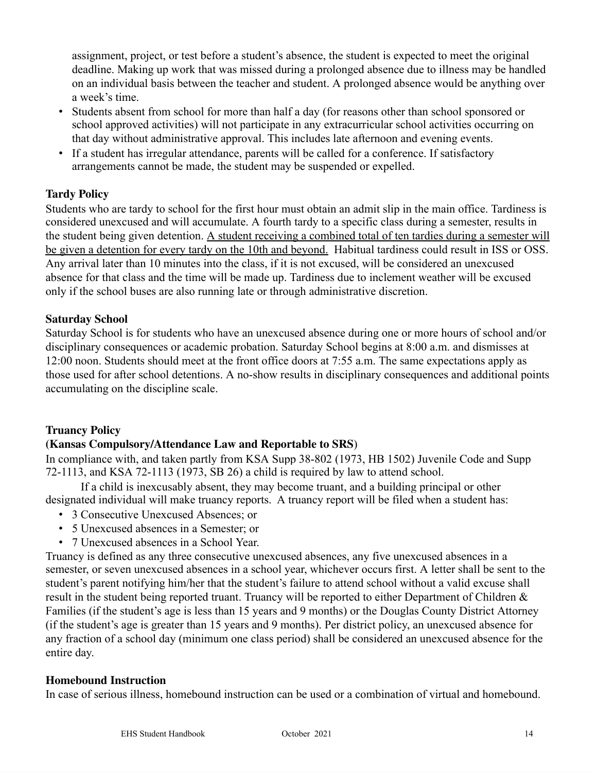assignment, project, or test before a student's absence, the student is expected to meet the original deadline. Making up work that was missed during a prolonged absence due to illness may be handled on an individual basis between the teacher and student. A prolonged absence would be anything over a week's time.

- Students absent from school for more than half a day (for reasons other than school sponsored or school approved activities) will not participate in any extracurricular school activities occurring on that day without administrative approval. This includes late afternoon and evening events.
- If a student has irregular attendance, parents will be called for a conference. If satisfactory arrangements cannot be made, the student may be suspended or expelled.

## **Tardy Policy**

Students who are tardy to school for the first hour must obtain an admit slip in the main office. Tardiness is considered unexcused and will accumulate. A fourth tardy to a specific class during a semester, results in the student being given detention. A student receiving a combined total of ten tardies during a semester will be given a detention for every tardy on the 10th and beyond. Habitual tardiness could result in ISS or OSS. Any arrival later than 10 minutes into the class, if it is not excused, will be considered an unexcused absence for that class and the time will be made up. Tardiness due to inclement weather will be excused only if the school buses are also running late or through administrative discretion.

## **Saturday School**

Saturday School is for students who have an unexcused absence during one or more hours of school and/or disciplinary consequences or academic probation. Saturday School begins at 8:00 a.m. and dismisses at 12:00 noon. Students should meet at the front office doors at 7:55 a.m. The same expectations apply as those used for after school detentions. A no-show results in disciplinary consequences and additional points accumulating on the discipline scale.

## **Truancy Policy**

## **(Kansas Compulsory/Attendance Law and Reportable to SRS**)

In compliance with, and taken partly from KSA Supp 38-802 (1973, HB 1502) Juvenile Code and Supp 72-1113, and KSA 72-1113 (1973, SB 26) a child is required by law to attend school.

If a child is inexcusably absent, they may become truant, and a building principal or other designated individual will make truancy reports. A truancy report will be filed when a student has:

- 3 Consecutive Unexcused Absences; or
- 5 Unexcused absences in a Semester; or
- 7 Unexcused absences in a School Year.

Truancy is defined as any three consecutive unexcused absences, any five unexcused absences in a semester, or seven unexcused absences in a school year, whichever occurs first. A letter shall be sent to the student's parent notifying him/her that the student's failure to attend school without a valid excuse shall result in the student being reported truant. Truancy will be reported to either Department of Children & Families (if the student's age is less than 15 years and 9 months) or the Douglas County District Attorney (if the student's age is greater than 15 years and 9 months). Per district policy, an unexcused absence for any fraction of a school day (minimum one class period) shall be considered an unexcused absence for the entire day.

#### **Homebound Instruction**

In case of serious illness, homebound instruction can be used or a combination of virtual and homebound.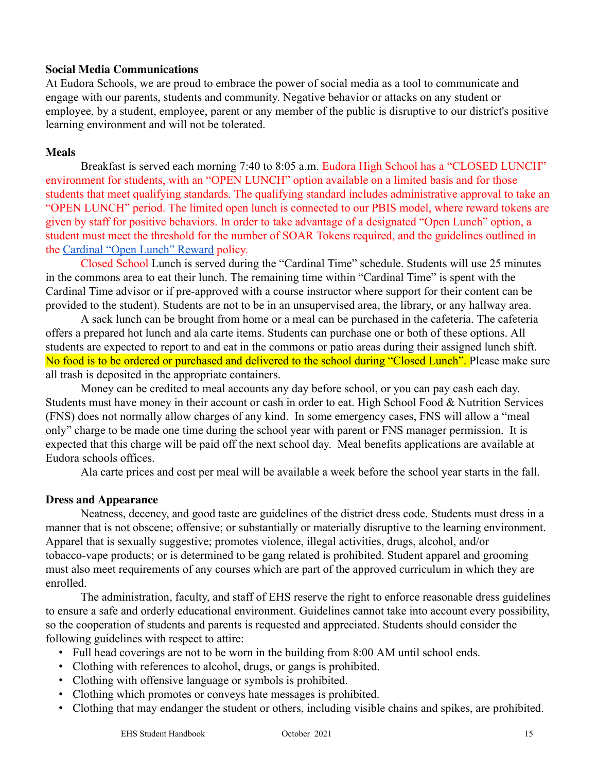## **Social Media Communications**

At Eudora Schools, we are proud to embrace the power of social media as a tool to communicate and engage with our parents, students and community. Negative behavior or attacks on any student or employee, by a student, employee, parent or any member of the public is disruptive to our district's positive learning environment and will not be tolerated.

#### **Meals**

Breakfast is served each morning 7:40 to 8:05 a.m. Eudora High School has a "CLOSED LUNCH" environment for students, with an "OPEN LUNCH" option available on a limited basis and for those students that meet qualifying standards. The qualifying standard includes administrative approval to take an "OPEN LUNCH" period. The limited open lunch is connected to our PBIS model, where reward tokens are given by staff for positive behaviors. In order to take advantage of a designated "Open Lunch" option, a student must meet the threshold for the number of SOAR Tokens required, and the guidelines outlined in the [Cardinal](https://docs.google.com/document/d/12YVXWgB8IqaLNR49hrMWXtEgqCtFaXMtHzx1orUY7JI/edit?usp=sharing) "Open Lunch" Reward policy.

Closed School Lunch is served during the "Cardinal Time" schedule. Students will use 25 minutes in the commons area to eat their lunch. The remaining time within "Cardinal Time" is spent with the Cardinal Time advisor or if pre-approved with a course instructor where support for their content can be provided to the student). Students are not to be in an unsupervised area, the library, or any hallway area.

A sack lunch can be brought from home or a meal can be purchased in the cafeteria. The cafeteria offers a prepared hot lunch and ala carte items. Students can purchase one or both of these options. All students are expected to report to and eat in the commons or patio areas during their assigned lunch shift. No food is to be ordered or purchased and delivered to the school during "Closed Lunch". Please make sure all trash is deposited in the appropriate containers.

Money can be credited to meal accounts any day before school, or you can pay cash each day. Students must have money in their account or cash in order to eat. High School Food & Nutrition Services (FNS) does not normally allow charges of any kind. In some emergency cases, FNS will allow a "meal only" charge to be made one time during the school year with parent or FNS manager permission. It is expected that this charge will be paid off the next school day. Meal benefits applications are available at Eudora schools offices.

Ala carte prices and cost per meal will be available a week before the school year starts in the fall.

#### **Dress and Appearance**

Neatness, decency, and good taste are guidelines of the district dress code. Students must dress in a manner that is not obscene; offensive; or substantially or materially disruptive to the learning environment. Apparel that is sexually suggestive; promotes violence, illegal activities, drugs, alcohol, and/or tobacco-vape products; or is determined to be gang related is prohibited. Student apparel and grooming must also meet requirements of any courses which are part of the approved curriculum in which they are enrolled.

The administration, faculty, and staff of EHS reserve the right to enforce reasonable dress guidelines to ensure a safe and orderly educational environment. Guidelines cannot take into account every possibility, so the cooperation of students and parents is requested and appreciated. Students should consider the following guidelines with respect to attire:

- Full head coverings are not to be worn in the building from 8:00 AM until school ends.
- Clothing with references to alcohol, drugs, or gangs is prohibited.
- Clothing with offensive language or symbols is prohibited.
- Clothing which promotes or conveys hate messages is prohibited.
- Clothing that may endanger the student or others, including visible chains and spikes, are prohibited.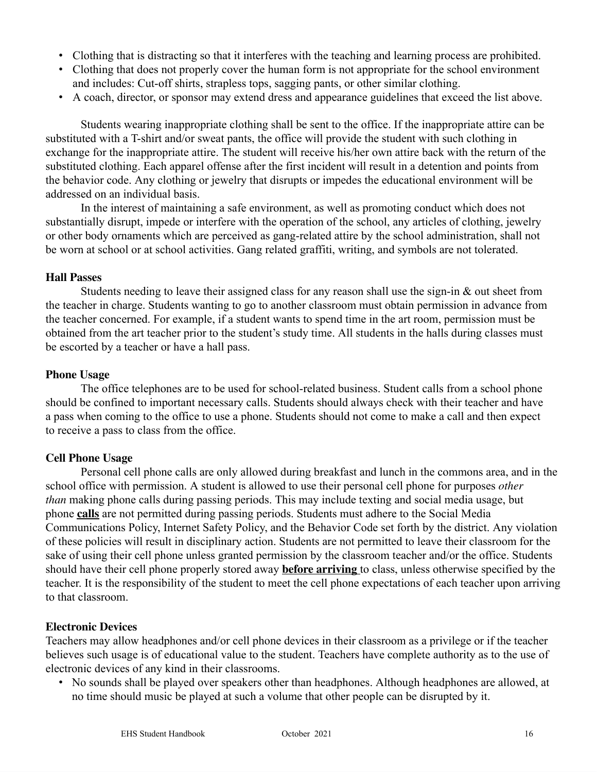- Clothing that is distracting so that it interferes with the teaching and learning process are prohibited.
- Clothing that does not properly cover the human form is not appropriate for the school environment and includes: Cut-off shirts, strapless tops, sagging pants, or other similar clothing.
- A coach, director, or sponsor may extend dress and appearance guidelines that exceed the list above.

Students wearing inappropriate clothing shall be sent to the office. If the inappropriate attire can be substituted with a T-shirt and/or sweat pants, the office will provide the student with such clothing in exchange for the inappropriate attire. The student will receive his/her own attire back with the return of the substituted clothing. Each apparel offense after the first incident will result in a detention and points from the behavior code. Any clothing or jewelry that disrupts or impedes the educational environment will be addressed on an individual basis.

In the interest of maintaining a safe environment, as well as promoting conduct which does not substantially disrupt, impede or interfere with the operation of the school, any articles of clothing, jewelry or other body ornaments which are perceived as gang-related attire by the school administration, shall not be worn at school or at school activities. Gang related graffiti, writing, and symbols are not tolerated.

#### **Hall Passes**

Students needing to leave their assigned class for any reason shall use the sign-in  $\&$  out sheet from the teacher in charge. Students wanting to go to another classroom must obtain permission in advance from the teacher concerned. For example, if a student wants to spend time in the art room, permission must be obtained from the art teacher prior to the student's study time. All students in the halls during classes must be escorted by a teacher or have a hall pass.

#### **Phone Usage**

The office telephones are to be used for school-related business. Student calls from a school phone should be confined to important necessary calls. Students should always check with their teacher and have a pass when coming to the office to use a phone. Students should not come to make a call and then expect to receive a pass to class from the office.

#### **Cell Phone Usage**

Personal cell phone calls are only allowed during breakfast and lunch in the commons area, and in the school office with permission. A student is allowed to use their personal cell phone for purposes *other than* making phone calls during passing periods. This may include texting and social media usage, but phone **calls** are not permitted during passing periods. Students must adhere to the Social Media Communications Policy, Internet Safety Policy, and the Behavior Code set forth by the district. Any violation of these policies will result in disciplinary action. Students are not permitted to leave their classroom for the sake of using their cell phone unless granted permission by the classroom teacher and/or the office. Students should have their cell phone properly stored away **before arriving** to class, unless otherwise specified by the teacher. It is the responsibility of the student to meet the cell phone expectations of each teacher upon arriving to that classroom.

#### **Electronic Devices**

Teachers may allow headphones and/or cell phone devices in their classroom as a privilege or if the teacher believes such usage is of educational value to the student. Teachers have complete authority as to the use of electronic devices of any kind in their classrooms.

• No sounds shall be played over speakers other than headphones. Although headphones are allowed, at no time should music be played at such a volume that other people can be disrupted by it.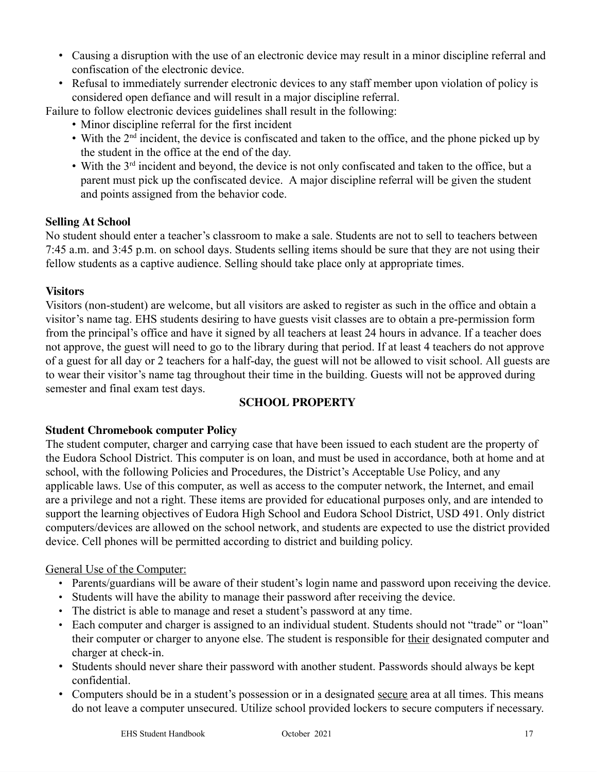- Causing a disruption with the use of an electronic device may result in a minor discipline referral and confiscation of the electronic device.
- Refusal to immediately surrender electronic devices to any staff member upon violation of policy is considered open defiance and will result in a major discipline referral.

Failure to follow electronic devices guidelines shall result in the following:

- Minor discipline referral for the first incident
- With the  $2<sup>nd</sup>$  incident, the device is confiscated and taken to the office, and the phone picked up by the student in the office at the end of the day.
- With the 3<sup>rd</sup> incident and beyond, the device is not only confiscated and taken to the office, but a parent must pick up the confiscated device. A major discipline referral will be given the student and points assigned from the behavior code.

## **Selling At School**

No student should enter a teacher's classroom to make a sale. Students are not to sell to teachers between 7:45 a.m. and 3:45 p.m. on school days. Students selling items should be sure that they are not using their fellow students as a captive audience. Selling should take place only at appropriate times.

## **Visitors**

Visitors (non-student) are welcome, but all visitors are asked to register as such in the office and obtain a visitor's name tag. EHS students desiring to have guests visit classes are to obtain a pre-permission form from the principal's office and have it signed by all teachers at least 24 hours in advance. If a teacher does not approve, the guest will need to go to the library during that period. If at least 4 teachers do not approve of a guest for all day or 2 teachers for a half-day, the guest will not be allowed to visit school. All guests are to wear their visitor's name tag throughout their time in the building. Guests will not be approved during semester and final exam test days.

## **SCHOOL PROPERTY**

#### **Student Chromebook computer Policy**

The student computer, charger and carrying case that have been issued to each student are the property of the Eudora School District. This computer is on loan, and must be used in accordance, both at home and at school, with the following Policies and Procedures, the District's Acceptable Use Policy, and any applicable laws. Use of this computer, as well as access to the computer network, the Internet, and email are a privilege and not a right. These items are provided for educational purposes only, and are intended to support the learning objectives of Eudora High School and Eudora School District, USD 491. Only district computers/devices are allowed on the school network, and students are expected to use the district provided device. Cell phones will be permitted according to district and building policy.

#### General Use of the Computer:

- Parents/guardians will be aware of their student's login name and password upon receiving the device.
- Students will have the ability to manage their password after receiving the device.
- The district is able to manage and reset a student's password at any time.
- Each computer and charger is assigned to an individual student. Students should not "trade" or "loan" their computer or charger to anyone else. The student is responsible for their designated computer and charger at check-in.
- Students should never share their password with another student. Passwords should always be kept confidential.
- Computers should be in a student's possession or in a designated secure area at all times. This means do not leave a computer unsecured. Utilize school provided lockers to secure computers if necessary.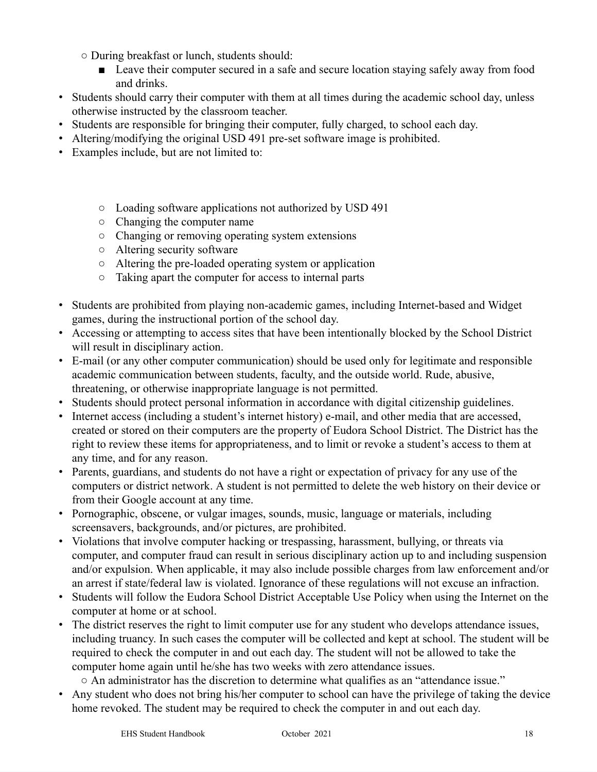○ During breakfast or lunch, students should:

- Leave their computer secured in a safe and secure location staying safely away from food and drinks.
- Students should carry their computer with them at all times during the academic school day, unless otherwise instructed by the classroom teacher.
- Students are responsible for bringing their computer, fully charged, to school each day.
- Altering/modifying the original USD 491 pre-set software image is prohibited.
- Examples include, but are not limited to:
	- Loading software applications not authorized by USD 491
	- Changing the computer name
	- Changing or removing operating system extensions
	- Altering security software
	- Altering the pre-loaded operating system or application
	- Taking apart the computer for access to internal parts
- Students are prohibited from playing non-academic games, including Internet-based and Widget games, during the instructional portion of the school day.
- Accessing or attempting to access sites that have been intentionally blocked by the School District will result in disciplinary action.
- E-mail (or any other computer communication) should be used only for legitimate and responsible academic communication between students, faculty, and the outside world. Rude, abusive, threatening, or otherwise inappropriate language is not permitted.
- Students should protect personal information in accordance with digital citizenship guidelines.
- Internet access (including a student's internet history) e-mail, and other media that are accessed, created or stored on their computers are the property of Eudora School District. The District has the right to review these items for appropriateness, and to limit or revoke a student's access to them at any time, and for any reason.
- Parents, guardians, and students do not have a right or expectation of privacy for any use of the computers or district network. A student is not permitted to delete the web history on their device or from their Google account at any time.
- Pornographic, obscene, or vulgar images, sounds, music, language or materials, including screensavers, backgrounds, and/or pictures, are prohibited.
- Violations that involve computer hacking or trespassing, harassment, bullying, or threats via computer, and computer fraud can result in serious disciplinary action up to and including suspension and/or expulsion. When applicable, it may also include possible charges from law enforcement and/or an arrest if state/federal law is violated. Ignorance of these regulations will not excuse an infraction.
- Students will follow the Eudora School District Acceptable Use Policy when using the Internet on the computer at home or at school.
- The district reserves the right to limit computer use for any student who develops attendance issues, including truancy. In such cases the computer will be collected and kept at school. The student will be required to check the computer in and out each day. The student will not be allowed to take the computer home again until he/she has two weeks with zero attendance issues.
	- An administrator has the discretion to determine what qualifies as an "attendance issue."
- Any student who does not bring his/her computer to school can have the privilege of taking the device home revoked. The student may be required to check the computer in and out each day.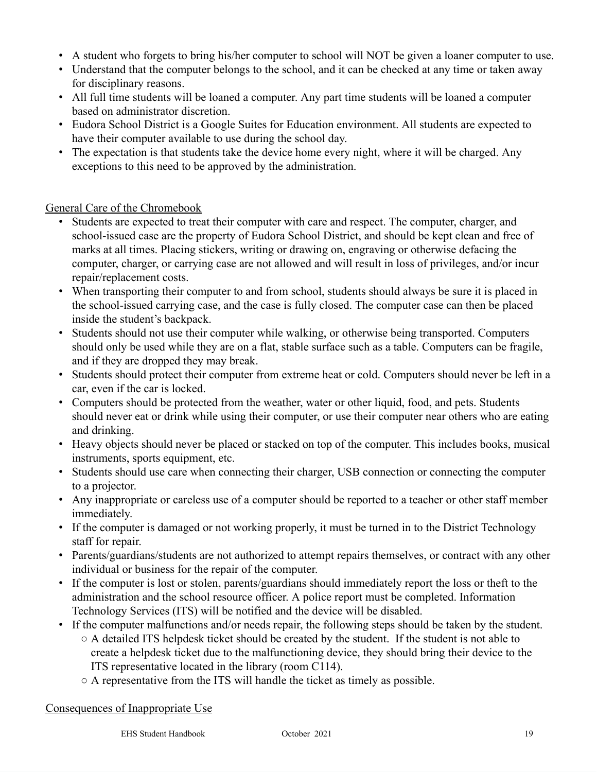- A student who forgets to bring his/her computer to school will NOT be given a loaner computer to use.
- Understand that the computer belongs to the school, and it can be checked at any time or taken away for disciplinary reasons.
- All full time students will be loaned a computer. Any part time students will be loaned a computer based on administrator discretion.
- Eudora School District is a Google Suites for Education environment. All students are expected to have their computer available to use during the school day.
- The expectation is that students take the device home every night, where it will be charged. Any exceptions to this need to be approved by the administration.

## General Care of the Chromebook

- Students are expected to treat their computer with care and respect. The computer, charger, and school-issued case are the property of Eudora School District, and should be kept clean and free of marks at all times. Placing stickers, writing or drawing on, engraving or otherwise defacing the computer, charger, or carrying case are not allowed and will result in loss of privileges, and/or incur repair/replacement costs.
- When transporting their computer to and from school, students should always be sure it is placed in the school-issued carrying case, and the case is fully closed. The computer case can then be placed inside the student's backpack.
- Students should not use their computer while walking, or otherwise being transported. Computers should only be used while they are on a flat, stable surface such as a table. Computers can be fragile, and if they are dropped they may break.
- Students should protect their computer from extreme heat or cold. Computers should never be left in a car, even if the car is locked.
- Computers should be protected from the weather, water or other liquid, food, and pets. Students should never eat or drink while using their computer, or use their computer near others who are eating and drinking.
- Heavy objects should never be placed or stacked on top of the computer. This includes books, musical instruments, sports equipment, etc.
- Students should use care when connecting their charger, USB connection or connecting the computer to a projector.
- Any inappropriate or careless use of a computer should be reported to a teacher or other staff member immediately.
- If the computer is damaged or not working properly, it must be turned in to the District Technology staff for repair.
- Parents/guardians/students are not authorized to attempt repairs themselves, or contract with any other individual or business for the repair of the computer.
- If the computer is lost or stolen, parents/guardians should immediately report the loss or theft to the administration and the school resource officer. A police report must be completed. Information Technology Services (ITS) will be notified and the device will be disabled.
- If the computer malfunctions and/or needs repair, the following steps should be taken by the student. ○ A detailed ITS helpdesk ticket should be created by the student. If the student is not able to create a helpdesk ticket due to the malfunctioning device, they should bring their device to the ITS representative located in the library (room C114).
	- $\circ$  A representative from the ITS will handle the ticket as timely as possible.

Consequences of Inappropriate Use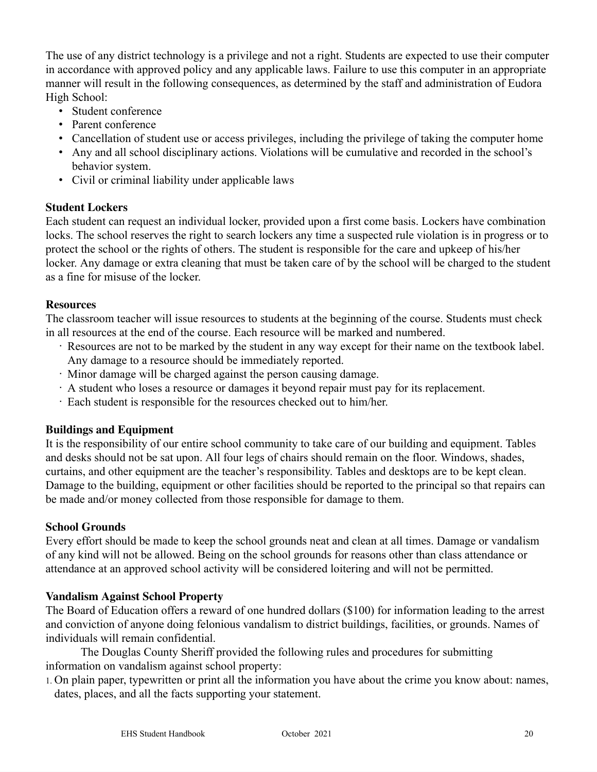The use of any district technology is a privilege and not a right. Students are expected to use their computer in accordance with approved policy and any applicable laws. Failure to use this computer in an appropriate manner will result in the following consequences, as determined by the staff and administration of Eudora High School:

- Student conference
- Parent conference
- Cancellation of student use or access privileges, including the privilege of taking the computer home
- Any and all school disciplinary actions. Violations will be cumulative and recorded in the school's behavior system.
- Civil or criminal liability under applicable laws

## **Student Lockers**

Each student can request an individual locker, provided upon a first come basis. Lockers have combination locks. The school reserves the right to search lockers any time a suspected rule violation is in progress or to protect the school or the rights of others. The student is responsible for the care and upkeep of his/her locker. Any damage or extra cleaning that must be taken care of by the school will be charged to the student as a fine for misuse of the locker.

## **Resources**

The classroom teacher will issue resources to students at the beginning of the course. Students must check in all resources at the end of the course. Each resource will be marked and numbered.

- · Resources are not to be marked by the student in any way except for their name on the textbook label. Any damage to a resource should be immediately reported.
- · Minor damage will be charged against the person causing damage.
- · A student who loses a resource or damages it beyond repair must pay for its replacement.
- · Each student is responsible for the resources checked out to him/her.

## **Buildings and Equipment**

It is the responsibility of our entire school community to take care of our building and equipment. Tables and desks should not be sat upon. All four legs of chairs should remain on the floor. Windows, shades, curtains, and other equipment are the teacher's responsibility. Tables and desktops are to be kept clean. Damage to the building, equipment or other facilities should be reported to the principal so that repairs can be made and/or money collected from those responsible for damage to them.

## **School Grounds**

Every effort should be made to keep the school grounds neat and clean at all times. Damage or vandalism of any kind will not be allowed. Being on the school grounds for reasons other than class attendance or attendance at an approved school activity will be considered loitering and will not be permitted.

## **Vandalism Against School Property**

The Board of Education offers a reward of one hundred dollars (\$100) for information leading to the arrest and conviction of anyone doing felonious vandalism to district buildings, facilities, or grounds. Names of individuals will remain confidential.

The Douglas County Sheriff provided the following rules and procedures for submitting information on vandalism against school property:

1. On plain paper, typewritten or print all the information you have about the crime you know about: names, dates, places, and all the facts supporting your statement.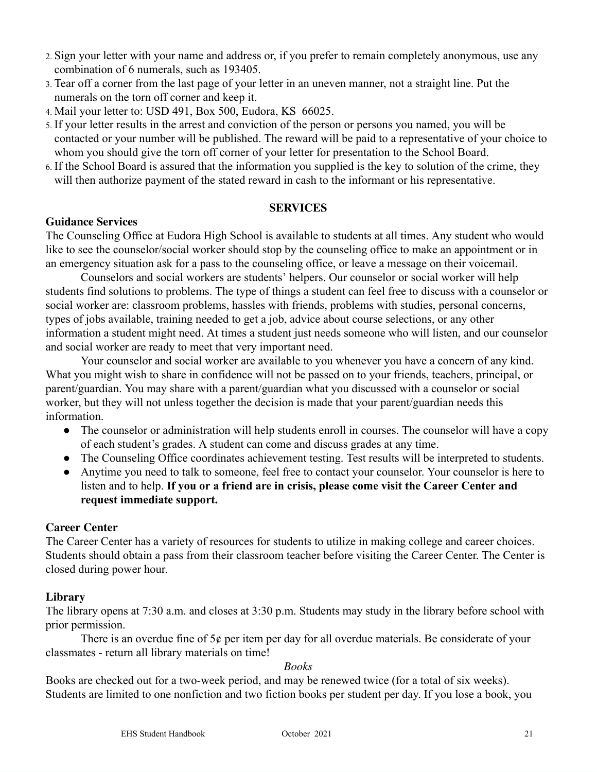- 2. Sign your letter with your name and address or, if you prefer to remain completely anonymous, use any combination of 6 numerals, such as 193405.
- 3. Tear off a corner from the last page of your letter in an uneven manner, not a straight line. Put the numerals on the torn off corner and keep it.
- 4. Mail your letter to: USD 491, Box 500, Eudora, KS 66025.
- 5. If your letter results in the arrest and conviction of the person or persons you named, you will be contacted or your number will be published. The reward will be paid to a representative of your choice to whom you should give the torn off corner of your letter for presentation to the School Board.
- 6. If the School Board is assured that the information you supplied is the key to solution of the crime, they will then authorize payment of the stated reward in cash to the informant or his representative.

#### **SERVICES**

## **Guidance Services**

The Counseling Office at Eudora High School is available to students at all times. Any student who would like to see the counselor/social worker should stop by the counseling office to make an appointment or in an emergency situation ask for a pass to the counseling office, or leave a message on their voicemail.

Counselors and social workers are students' helpers. Our counselor or social worker will help students find solutions to problems. The type of things a student can feel free to discuss with a counselor or social worker are: classroom problems, hassles with friends, problems with studies, personal concerns, types of jobs available, training needed to get a job, advice about course selections, or any other information a student might need. At times a student just needs someone who will listen, and our counselor and social worker are ready to meet that very important need.

Your counselor and social worker are available to you whenever you have a concern of any kind. What you might wish to share in confidence will not be passed on to your friends, teachers, principal, or parent/guardian. You may share with a parent/guardian what you discussed with a counselor or social worker, but they will not unless together the decision is made that your parent/guardian needs this information.

- The counselor or administration will help students enroll in courses. The counselor will have a copy of each student's grades. A student can come and discuss grades at any time.
- The Counseling Office coordinates achievement testing. Test results will be interpreted to students.
- Anytime you need to talk to someone, feel free to contact your counselor. Your counselor is here to listen and to help. **If you or a friend are in crisis, please come visit the Career Center and request immediate support.**

## **Career Center**

The Career Center has a variety of resources for students to utilize in making college and career choices. Students should obtain a pass from their classroom teacher before visiting the Career Center. The Center is closed during power hour.

## **Library**

The library opens at 7:30 a.m. and closes at 3:30 p.m. Students may study in the library before school with prior permission.

There is an overdue fine of  $5¢$  per item per day for all overdue materials. Be considerate of your classmates - return all library materials on time!

#### *Books*

Books are checked out for a two-week period, and may be renewed twice (for a total of six weeks). Students are limited to one nonfiction and two fiction books per student per day. If you lose a book, you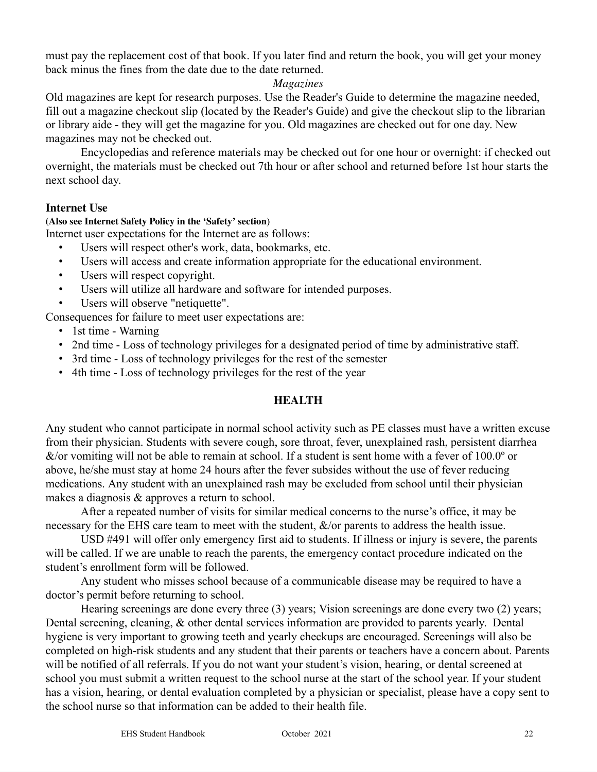must pay the replacement cost of that book. If you later find and return the book, you will get your money back minus the fines from the date due to the date returned.

## *Magazines*

Old magazines are kept for research purposes. Use the Reader's Guide to determine the magazine needed, fill out a magazine checkout slip (located by the Reader's Guide) and give the checkout slip to the librarian or library aide - they will get the magazine for you. Old magazines are checked out for one day. New magazines may not be checked out.

Encyclopedias and reference materials may be checked out for one hour or overnight: if checked out overnight, the materials must be checked out 7th hour or after school and returned before 1st hour starts the next school day.

## **Internet Use**

#### **(Also see Internet Safety Policy in the 'Safety' section**)

Internet user expectations for the Internet are as follows:

- Users will respect other's work, data, bookmarks, etc.
- Users will access and create information appropriate for the educational environment.
- Users will respect copyright.
- Users will utilize all hardware and software for intended purposes.
- Users will observe "netiquette".

Consequences for failure to meet user expectations are:

- 1st time Warning
- 2nd time Loss of technology privileges for a designated period of time by administrative staff.
- 3rd time Loss of technology privileges for the rest of the semester
- 4th time Loss of technology privileges for the rest of the year

#### **HEALTH**

Any student who cannot participate in normal school activity such as PE classes must have a written excuse from their physician. Students with severe cough, sore throat, fever, unexplained rash, persistent diarrhea  $\&$ /or vomiting will not be able to remain at school. If a student is sent home with a fever of 100.0 $^{\circ}$  or above, he/she must stay at home 24 hours after the fever subsides without the use of fever reducing medications. Any student with an unexplained rash may be excluded from school until their physician makes a diagnosis & approves a return to school.

After a repeated number of visits for similar medical concerns to the nurse's office, it may be necessary for the EHS care team to meet with the student,  $\&$ /or parents to address the health issue.

USD #491 will offer only emergency first aid to students. If illness or injury is severe, the parents will be called. If we are unable to reach the parents, the emergency contact procedure indicated on the student's enrollment form will be followed.

Any student who misses school because of a communicable disease may be required to have a doctor's permit before returning to school.

Hearing screenings are done every three (3) years; Vision screenings are done every two (2) years; Dental screening, cleaning, & other dental services information are provided to parents yearly. Dental hygiene is very important to growing teeth and yearly checkups are encouraged. Screenings will also be completed on high-risk students and any student that their parents or teachers have a concern about. Parents will be notified of all referrals. If you do not want your student's vision, hearing, or dental screened at school you must submit a written request to the school nurse at the start of the school year. If your student has a vision, hearing, or dental evaluation completed by a physician or specialist, please have a copy sent to the school nurse so that information can be added to their health file.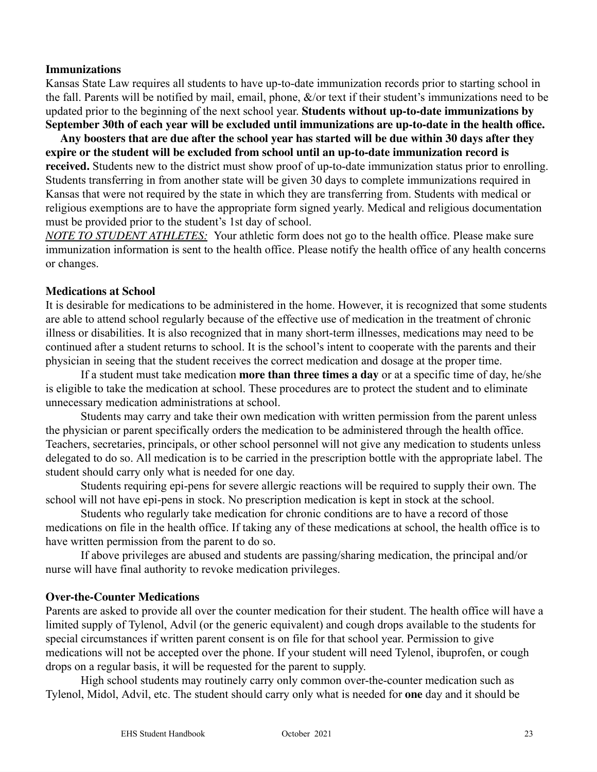#### **Immunizations**

Kansas State Law requires all students to have up-to-date immunization records prior to starting school in the fall. Parents will be notified by mail, email, phone, &/or text if their student's immunizations need to be updated prior to the beginning of the next school year. **Students without up-to-date immunizations by September 30th of each year will be excluded until immunizations are up-to-date in the health office.**

Any boosters that are due after the school year has started will be due within 30 days after they **expire or the student will be excluded from school until an up-to-date immunization record is received.** Students new to the district must show proof of up-to-date immunization status prior to enrolling. Students transferring in from another state will be given 30 days to complete immunizations required in Kansas that were not required by the state in which they are transferring from. Students with medical or religious exemptions are to have the appropriate form signed yearly. Medical and religious documentation must be provided prior to the student's 1st day of school.

*NOTE TO STUDENT ATHLETES:* Your athletic form does not go to the health office. Please make sure immunization information is sent to the health office. Please notify the health office of any health concerns or changes.

#### **Medications at School**

It is desirable for medications to be administered in the home. However, it is recognized that some students are able to attend school regularly because of the effective use of medication in the treatment of chronic illness or disabilities. It is also recognized that in many short-term illnesses, medications may need to be continued after a student returns to school. It is the school's intent to cooperate with the parents and their physician in seeing that the student receives the correct medication and dosage at the proper time.

If a student must take medication **more than three times a day** or at a specific time of day, he/she is eligible to take the medication at school. These procedures are to protect the student and to eliminate unnecessary medication administrations at school.

Students may carry and take their own medication with written permission from the parent unless the physician or parent specifically orders the medication to be administered through the health office. Teachers, secretaries, principals, or other school personnel will not give any medication to students unless delegated to do so. All medication is to be carried in the prescription bottle with the appropriate label. The student should carry only what is needed for one day.

Students requiring epi-pens for severe allergic reactions will be required to supply their own. The school will not have epi-pens in stock. No prescription medication is kept in stock at the school.

Students who regularly take medication for chronic conditions are to have a record of those medications on file in the health office. If taking any of these medications at school, the health office is to have written permission from the parent to do so.

If above privileges are abused and students are passing/sharing medication, the principal and/or nurse will have final authority to revoke medication privileges.

#### **Over-the-Counter Medications**

Parents are asked to provide all over the counter medication for their student. The health office will have a limited supply of Tylenol, Advil (or the generic equivalent) and cough drops available to the students for special circumstances if written parent consent is on file for that school year. Permission to give medications will not be accepted over the phone. If your student will need Tylenol, ibuprofen, or cough drops on a regular basis, it will be requested for the parent to supply.

High school students may routinely carry only common over-the-counter medication such as Tylenol, Midol, Advil, etc. The student should carry only what is needed for **one** day and it should be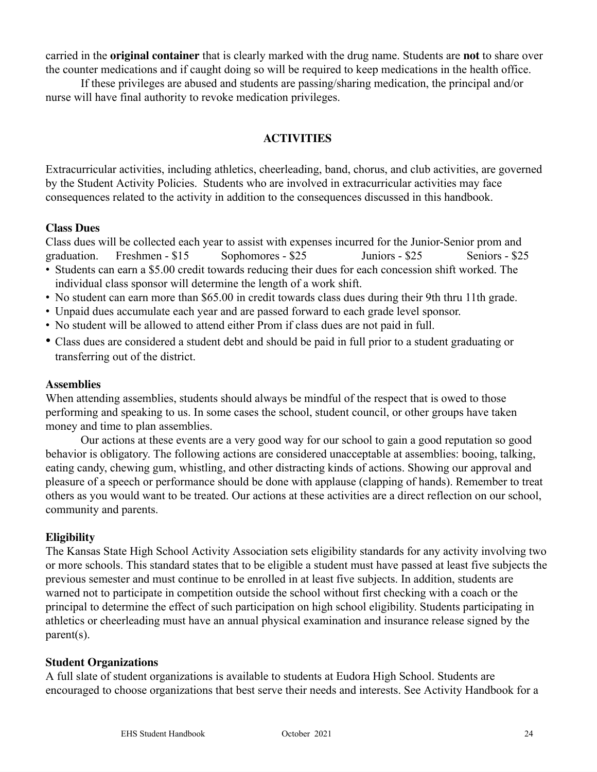carried in the **original container** that is clearly marked with the drug name. Students are **not** to share over the counter medications and if caught doing so will be required to keep medications in the health office.

If these privileges are abused and students are passing/sharing medication, the principal and/or nurse will have final authority to revoke medication privileges.

## **ACTIVITIES**

Extracurricular activities, including athletics, cheerleading, band, chorus, and club activities, are governed by the Student Activity Policies. Students who are involved in extracurricular activities may face consequences related to the activity in addition to the consequences discussed in this handbook.

## **Class Dues**

Class dues will be collected each year to assist with expenses incurred for the Junior-Senior prom and graduation. Freshmen - \$15 Sophomores - \$25 Juniors - \$25 Seniors - \$25

- Students can earn a \$5.00 credit towards reducing their dues for each concession shift worked. The individual class sponsor will determine the length of a work shift.
- No student can earn more than \$65.00 in credit towards class dues during their 9th thru 11th grade.
- Unpaid dues accumulate each year and are passed forward to each grade level sponsor.
- No student will be allowed to attend either Prom if class dues are not paid in full.
- Class dues are considered a student debt and should be paid in full prior to a student graduating or transferring out of the district.

## **Assemblies**

When attending assemblies, students should always be mindful of the respect that is owed to those performing and speaking to us. In some cases the school, student council, or other groups have taken money and time to plan assemblies.

Our actions at these events are a very good way for our school to gain a good reputation so good behavior is obligatory. The following actions are considered unacceptable at assemblies: booing, talking, eating candy, chewing gum, whistling, and other distracting kinds of actions. Showing our approval and pleasure of a speech or performance should be done with applause (clapping of hands). Remember to treat others as you would want to be treated. Our actions at these activities are a direct reflection on our school, community and parents.

## **Eligibility**

The Kansas State High School Activity Association sets eligibility standards for any activity involving two or more schools. This standard states that to be eligible a student must have passed at least five subjects the previous semester and must continue to be enrolled in at least five subjects. In addition, students are warned not to participate in competition outside the school without first checking with a coach or the principal to determine the effect of such participation on high school eligibility. Students participating in athletics or cheerleading must have an annual physical examination and insurance release signed by the parent(s).

## **Student Organizations**

A full slate of student organizations is available to students at Eudora High School. Students are encouraged to choose organizations that best serve their needs and interests. See Activity Handbook for a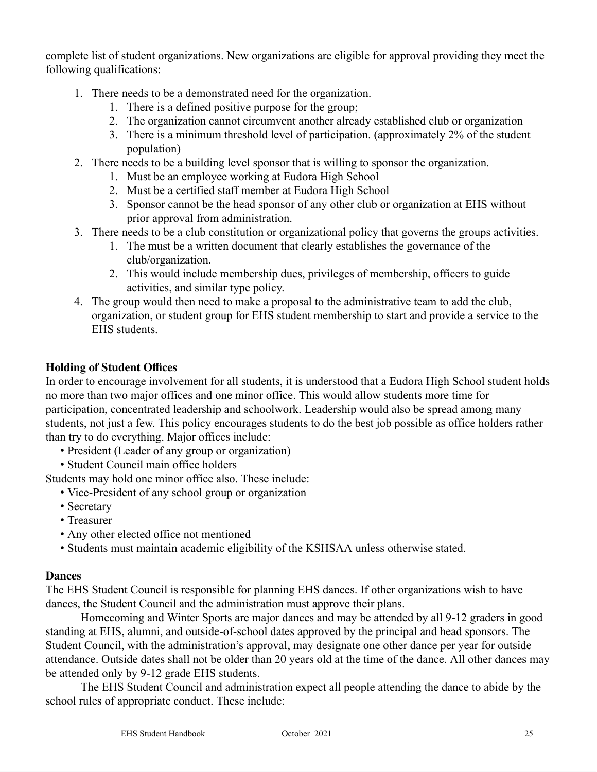complete list of student organizations. New organizations are eligible for approval providing they meet the following qualifications:

- 1. There needs to be a demonstrated need for the organization.
	- 1. There is a defined positive purpose for the group;
	- 2. The organization cannot circumvent another already established club or organization
	- 3. There is a minimum threshold level of participation. (approximately 2% of the student population)
- 2. There needs to be a building level sponsor that is willing to sponsor the organization.
	- 1. Must be an employee working at Eudora High School
	- 2. Must be a certified staff member at Eudora High School
	- 3. Sponsor cannot be the head sponsor of any other club or organization at EHS without prior approval from administration.
- 3. There needs to be a club constitution or organizational policy that governs the groups activities.
	- 1. The must be a written document that clearly establishes the governance of the club/organization.
	- 2. This would include membership dues, privileges of membership, officers to guide activities, and similar type policy.
- 4. The group would then need to make a proposal to the administrative team to add the club, organization, or student group for EHS student membership to start and provide a service to the EHS students.

## **Holding of Student Offices**

In order to encourage involvement for all students, it is understood that a Eudora High School student holds no more than two major offices and one minor office. This would allow students more time for participation, concentrated leadership and schoolwork. Leadership would also be spread among many students, not just a few. This policy encourages students to do the best job possible as office holders rather than try to do everything. Major offices include:

- President (Leader of any group or organization)
- Student Council main office holders

Students may hold one minor office also. These include:

- Vice-President of any school group or organization
- Secretary
- Treasurer
- Any other elected office not mentioned
- Students must maintain academic eligibility of the KSHSAA unless otherwise stated.

## **Dances**

The EHS Student Council is responsible for planning EHS dances. If other organizations wish to have dances, the Student Council and the administration must approve their plans.

Homecoming and Winter Sports are major dances and may be attended by all 9-12 graders in good standing at EHS, alumni, and outside-of-school dates approved by the principal and head sponsors. The Student Council, with the administration's approval, may designate one other dance per year for outside attendance. Outside dates shall not be older than 20 years old at the time of the dance. All other dances may be attended only by 9-12 grade EHS students.

The EHS Student Council and administration expect all people attending the dance to abide by the school rules of appropriate conduct. These include: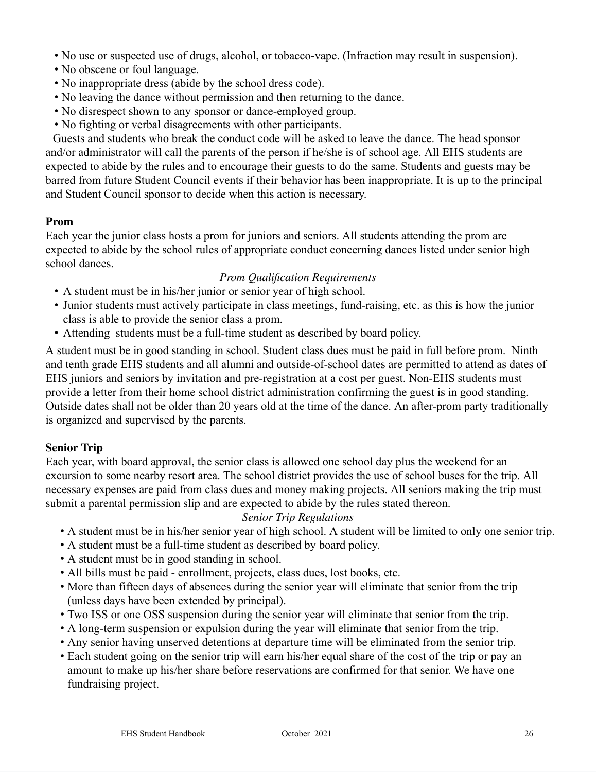- No use or suspected use of drugs, alcohol, or tobacco-vape. (Infraction may result in suspension).
- No obscene or foul language.
- No inappropriate dress (abide by the school dress code).
- No leaving the dance without permission and then returning to the dance.
- No disrespect shown to any sponsor or dance-employed group.
- No fighting or verbal disagreements with other participants.

Guests and students who break the conduct code will be asked to leave the dance. The head sponsor and/or administrator will call the parents of the person if he/she is of school age. All EHS students are expected to abide by the rules and to encourage their guests to do the same. Students and guests may be barred from future Student Council events if their behavior has been inappropriate. It is up to the principal and Student Council sponsor to decide when this action is necessary.

## **Prom**

Each year the junior class hosts a prom for juniors and seniors. All students attending the prom are expected to abide by the school rules of appropriate conduct concerning dances listed under senior high school dances.

#### *Prom Qualification Requirements*

- A student must be in his/her junior or senior year of high school.
- Junior students must actively participate in class meetings, fund-raising, etc. as this is how the junior class is able to provide the senior class a prom.
- Attending students must be a full-time student as described by board policy.

A student must be in good standing in school. Student class dues must be paid in full before prom. Ninth and tenth grade EHS students and all alumni and outside-of-school dates are permitted to attend as dates of EHS juniors and seniors by invitation and pre-registration at a cost per guest. Non-EHS students must provide a letter from their home school district administration confirming the guest is in good standing. Outside dates shall not be older than 20 years old at the time of the dance. An after-prom party traditionally is organized and supervised by the parents.

#### **Senior Trip**

Each year, with board approval, the senior class is allowed one school day plus the weekend for an excursion to some nearby resort area. The school district provides the use of school buses for the trip. All necessary expenses are paid from class dues and money making projects. All seniors making the trip must submit a parental permission slip and are expected to abide by the rules stated thereon.

## *Senior Trip Regulations*

- A student must be in his/her senior year of high school. A student will be limited to only one senior trip.
- A student must be a full-time student as described by board policy.
- A student must be in good standing in school.
- All bills must be paid enrollment, projects, class dues, lost books, etc.
- More than fifteen days of absences during the senior year will eliminate that senior from the trip (unless days have been extended by principal).
- Two ISS or one OSS suspension during the senior year will eliminate that senior from the trip.
- A long-term suspension or expulsion during the year will eliminate that senior from the trip.
- Any senior having unserved detentions at departure time will be eliminated from the senior trip.
- Each student going on the senior trip will earn his/her equal share of the cost of the trip or pay an amount to make up his/her share before reservations are confirmed for that senior. We have one fundraising project.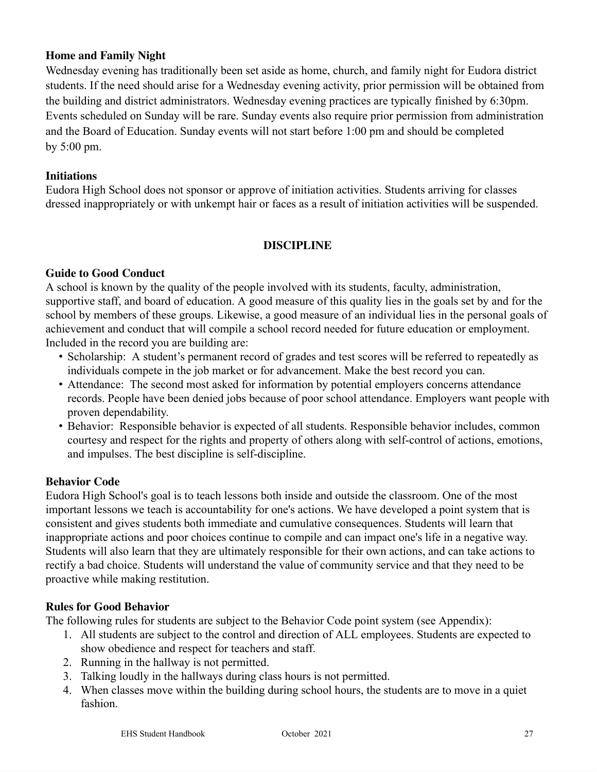## **Home and Family Night**

Wednesday evening has traditionally been set aside as home, church, and family night for Eudora district students. If the need should arise for a Wednesday evening activity, prior permission will be obtained from the building and district administrators. Wednesday evening practices are typically finished by 6:30pm. Events scheduled on Sunday will be rare. Sunday events also require prior permission from administration and the Board of Education. Sunday events will not start before 1:00 pm and should be completed by 5:00 pm.

#### **Initiations**

Eudora High School does not sponsor or approve of initiation activities. Students arriving for classes dressed inappropriately or with unkempt hair or faces as a result of initiation activities will be suspended.

#### **DISCIPLINE**

#### **Guide to Good Conduct**

A school is known by the quality of the people involved with its students, faculty, administration, supportive staff, and board of education. A good measure of this quality lies in the goals set by and for the school by members of these groups. Likewise, a good measure of an individual lies in the personal goals of achievement and conduct that will compile a school record needed for future education or employment. Included in the record you are building are:

- Scholarship: A student's permanent record of grades and test scores will be referred to repeatedly as individuals compete in the job market or for advancement. Make the best record you can.
- Attendance: The second most asked for information by potential employers concerns attendance records. People have been denied jobs because of poor school attendance. Employers want people with proven dependability.
- Behavior: Responsible behavior is expected of all students. Responsible behavior includes, common courtesy and respect for the rights and property of others along with self-control of actions, emotions, and impulses. The best discipline is self-discipline.

#### **Behavior Code**

Eudora High School's goal is to teach lessons both inside and outside the classroom. One of the most important lessons we teach is accountability for one's actions. We have developed a point system that is consistent and gives students both immediate and cumulative consequences. Students will learn that inappropriate actions and poor choices continue to compile and can impact one's life in a negative way. Students will also learn that they are ultimately responsible for their own actions, and can take actions to rectify a bad choice. Students will understand the value of community service and that they need to be proactive while making restitution.

#### **Rules for Good Behavior**

The following rules for students are subject to the Behavior Code point system (see Appendix):

- 1. All students are subject to the control and direction of ALL employees. Students are expected to show obedience and respect for teachers and staff.
- 2. Running in the hallway is not permitted.
- 3. Talking loudly in the hallways during class hours is not permitted.
- 4. When classes move within the building during school hours, the students are to move in a quiet fashion.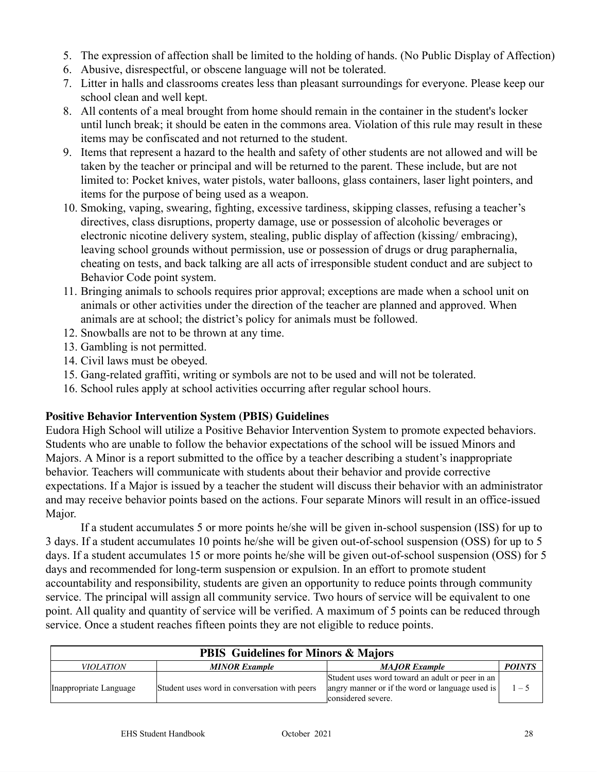- 5. The expression of affection shall be limited to the holding of hands. (No Public Display of Affection)
- 6. Abusive, disrespectful, or obscene language will not be tolerated.
- 7. Litter in halls and classrooms creates less than pleasant surroundings for everyone. Please keep our school clean and well kept.
- 8. All contents of a meal brought from home should remain in the container in the student's locker until lunch break; it should be eaten in the commons area. Violation of this rule may result in these items may be confiscated and not returned to the student.
- 9. Items that represent a hazard to the health and safety of other students are not allowed and will be taken by the teacher or principal and will be returned to the parent. These include, but are not limited to: Pocket knives, water pistols, water balloons, glass containers, laser light pointers, and items for the purpose of being used as a weapon.
- 10. Smoking, vaping, swearing, fighting, excessive tardiness, skipping classes, refusing a teacher's directives, class disruptions, property damage, use or possession of alcoholic beverages or electronic nicotine delivery system, stealing, public display of affection (kissing/ embracing), leaving school grounds without permission, use or possession of drugs or drug paraphernalia, cheating on tests, and back talking are all acts of irresponsible student conduct and are subject to Behavior Code point system.
- 11. Bringing animals to schools requires prior approval; exceptions are made when a school unit on animals or other activities under the direction of the teacher are planned and approved. When animals are at school; the district's policy for animals must be followed.
- 12. Snowballs are not to be thrown at any time.
- 13. Gambling is not permitted.
- 14. Civil laws must be obeyed.
- 15. Gang-related graffiti, writing or symbols are not to be used and will not be tolerated.
- 16. School rules apply at school activities occurring after regular school hours.

## **Positive Behavior Intervention System (PBIS) Guidelines**

Eudora High School will utilize a Positive Behavior Intervention System to promote expected behaviors. Students who are unable to follow the behavior expectations of the school will be issued Minors and Majors. A Minor is a report submitted to the office by a teacher describing a student's inappropriate behavior. Teachers will communicate with students about their behavior and provide corrective expectations. If a Major is issued by a teacher the student will discuss their behavior with an administrator and may receive behavior points based on the actions. Four separate Minors will result in an office-issued Major.

If a student accumulates 5 or more points he/she will be given in-school suspension (ISS) for up to 3 days. If a student accumulates 10 points he/she will be given out-of-school suspension (OSS) for up to 5 days. If a student accumulates 15 or more points he/she will be given out-of-school suspension (OSS) for 5 days and recommended for long-term suspension or expulsion. In an effort to promote student accountability and responsibility, students are given an opportunity to reduce points through community service. The principal will assign all community service. Two hours of service will be equivalent to one point. All quality and quantity of service will be verified. A maximum of 5 points can be reduced through service. Once a student reaches fifteen points they are not eligible to reduce points.

| <b>PBIS</b> Guidelines for Minors & Majors |                                              |                                                                                                                          |               |
|--------------------------------------------|----------------------------------------------|--------------------------------------------------------------------------------------------------------------------------|---------------|
| <b>VIOLATION</b>                           | <b>MINOR Example</b>                         | <b>MAJOR Example</b>                                                                                                     | <b>POINTS</b> |
| Inappropriate Language                     | Student uses word in conversation with peers | Student uses word toward an adult or peer in an<br>angry manner or if the word or language used is<br>considered severe. | $1 - 5$       |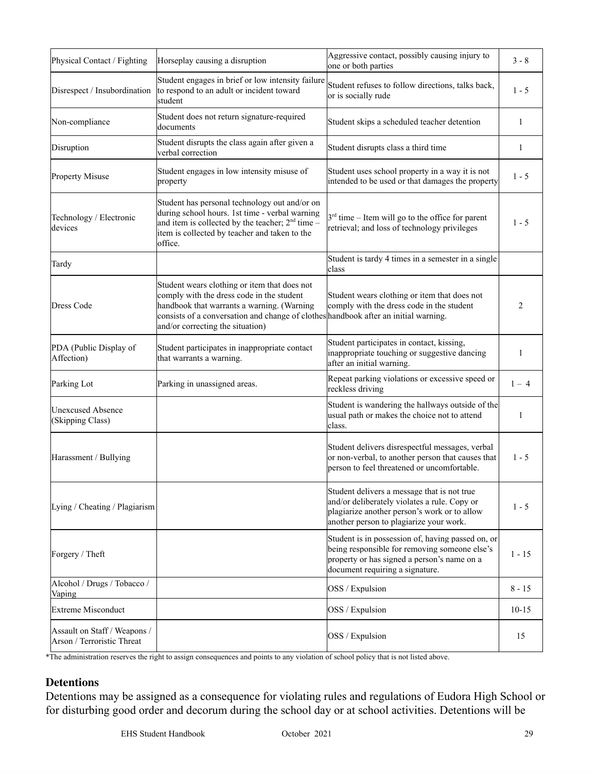| Physical Contact / Fighting                                | Horseplay causing a disruption                                                                                                                                                                                                                                     | Aggressive contact, possibly causing injury to<br>one or both parties                                                                                                                  | $3 - 8$      |
|------------------------------------------------------------|--------------------------------------------------------------------------------------------------------------------------------------------------------------------------------------------------------------------------------------------------------------------|----------------------------------------------------------------------------------------------------------------------------------------------------------------------------------------|--------------|
| Disrespect / Insubordination                               | Student engages in brief or low intensity failure<br>to respond to an adult or incident toward<br>student                                                                                                                                                          | Student refuses to follow directions, talks back,<br>or is socially rude                                                                                                               | $1 - 5$      |
| Non-compliance                                             | Student does not return signature-required<br>documents                                                                                                                                                                                                            | Student skips a scheduled teacher detention                                                                                                                                            | $\mathbf{1}$ |
| Disruption                                                 | Student disrupts the class again after given a<br>verbal correction                                                                                                                                                                                                | Student disrupts class a third time                                                                                                                                                    | 1            |
| <b>Property Misuse</b>                                     | Student engages in low intensity misuse of<br>property                                                                                                                                                                                                             | Student uses school property in a way it is not<br>intended to be used or that damages the property                                                                                    | $1 - 5$      |
| Technology / Electronic<br>devices                         | Student has personal technology out and/or on<br>during school hours. 1st time - verbal warning<br>and item is collected by the teacher; $2nd$ time –<br>item is collected by teacher and taken to the<br>office.                                                  | $3rd$ time – Item will go to the office for parent<br>retrieval; and loss of technology privileges                                                                                     | $1 - 5$      |
| Tardy                                                      |                                                                                                                                                                                                                                                                    | Student is tardy 4 times in a semester in a single<br>class                                                                                                                            |              |
| <b>Dress Code</b>                                          | Student wears clothing or item that does not<br>comply with the dress code in the student<br>handbook that warrants a warning. (Warning<br>consists of a conversation and change of clothes handbook after an initial warning.<br>and/or correcting the situation) | Student wears clothing or item that does not<br>comply with the dress code in the student                                                                                              | 2            |
| PDA (Public Display of<br>Affection)                       | Student participates in inappropriate contact<br>that warrants a warning.                                                                                                                                                                                          | Student participates in contact, kissing,<br>inappropriate touching or suggestive dancing<br>after an initial warning.                                                                 | $\mathbf{1}$ |
| Parking Lot                                                | Parking in unassigned areas.                                                                                                                                                                                                                                       | Repeat parking violations or excessive speed or<br>reckless driving                                                                                                                    | $1 - 4$      |
| <b>Unexcused Absence</b><br>(Skipping Class)               |                                                                                                                                                                                                                                                                    | Student is wandering the hallways outside of the<br>usual path or makes the choice not to attend<br>class.                                                                             | 1            |
| Harassment / Bullying                                      |                                                                                                                                                                                                                                                                    | Student delivers disrespectful messages, verbal<br>or non-verbal, to another person that causes that<br>person to feel threatened or uncomfortable.                                    | $1 - 5$      |
| Lying / Cheating / Plagiarism                              |                                                                                                                                                                                                                                                                    | Student delivers a message that is not true<br>and/or deliberately violates a rule. Copy or<br>plagiarize another person's work or to allow<br>another person to plagiarize your work. | $1 - 5$      |
| Forgery / Theft                                            |                                                                                                                                                                                                                                                                    | Student is in possession of, having passed on, or<br>being responsible for removing someone else's<br>property or has signed a person's name on a<br>document requiring a signature.   | $1 - 15$     |
| Alcohol / Drugs / Tobacco /<br>Vaping                      |                                                                                                                                                                                                                                                                    | OSS / Expulsion                                                                                                                                                                        | $8 - 15$     |
| <b>Extreme Misconduct</b>                                  |                                                                                                                                                                                                                                                                    | OSS / Expulsion                                                                                                                                                                        | $10 - 15$    |
| Assault on Staff / Weapons /<br>Arson / Terroristic Threat |                                                                                                                                                                                                                                                                    | OSS / Expulsion                                                                                                                                                                        | 15           |

\*The administration reserves the right to assign consequences and points to any violation of school policy that is not listed above.

## **Detentions**

Detentions may be assigned as a consequence for violating rules and regulations of Eudora High School or for disturbing good order and decorum during the school day or at school activities. Detentions will be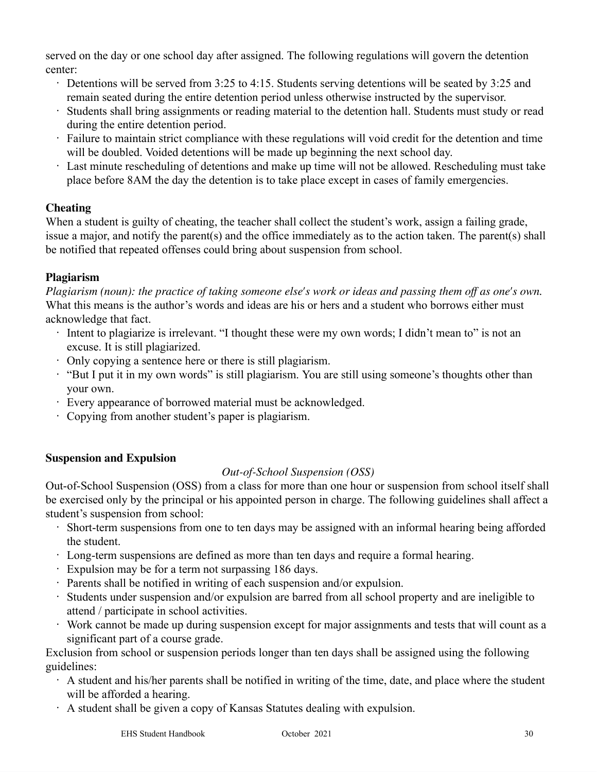served on the day or one school day after assigned. The following regulations will govern the detention center:

- · Detentions will be served from 3:25 to 4:15. Students serving detentions will be seated by 3:25 and remain seated during the entire detention period unless otherwise instructed by the supervisor.
- Students shall bring assignments or reading material to the detention hall. Students must study or read during the entire detention period.
- · Failure to maintain strict compliance with these regulations will void credit for the detention and time will be doubled. Voided detentions will be made up beginning the next school day.
- · Last minute rescheduling of detentions and make up time will not be allowed. Rescheduling must take place before 8AM the day the detention is to take place except in cases of family emergencies.

# **Cheating**

When a student is guilty of cheating, the teacher shall collect the student's work, assign a failing grade, issue a major, and notify the parent(s) and the office immediately as to the action taken. The parent(s) shall be notified that repeated offenses could bring about suspension from school.

# **Plagiarism**

Plagiarism (noun): the practice of taking someone else's work or ideas and passing them off as one's own. What this means is the author's words and ideas are his or hers and a student who borrows either must acknowledge that fact.

- · Intent to plagiarize is irrelevant. "I thought these were my own words; I didn't mean to" is not an excuse. It is still plagiarized.
- · Only copying a sentence here or there is still plagiarism.
- · "But I put it in my own words" is still plagiarism. You are still using someone's thoughts other than your own.
- · Every appearance of borrowed material must be acknowledged.
- · Copying from another student's paper is plagiarism.

# **Suspension and Expulsion**

## *Out-of-School Suspension (OSS)*

Out-of-School Suspension (OSS) from a class for more than one hour or suspension from school itself shall be exercised only by the principal or his appointed person in charge. The following guidelines shall affect a student's suspension from school:

- · Short-term suspensions from one to ten days may be assigned with an informal hearing being afforded the student.
- · Long-term suspensions are defined as more than ten days and require a formal hearing.
- · Expulsion may be for a term not surpassing 186 days.
- · Parents shall be notified in writing of each suspension and/or expulsion.
- · Students under suspension and/or expulsion are barred from all school property and are ineligible to attend / participate in school activities.
- · Work cannot be made up during suspension except for major assignments and tests that will count as a significant part of a course grade.

Exclusion from school or suspension periods longer than ten days shall be assigned using the following guidelines:

- · A student and his/her parents shall be notified in writing of the time, date, and place where the student will be afforded a hearing.
- · A student shall be given a copy of Kansas Statutes dealing with expulsion.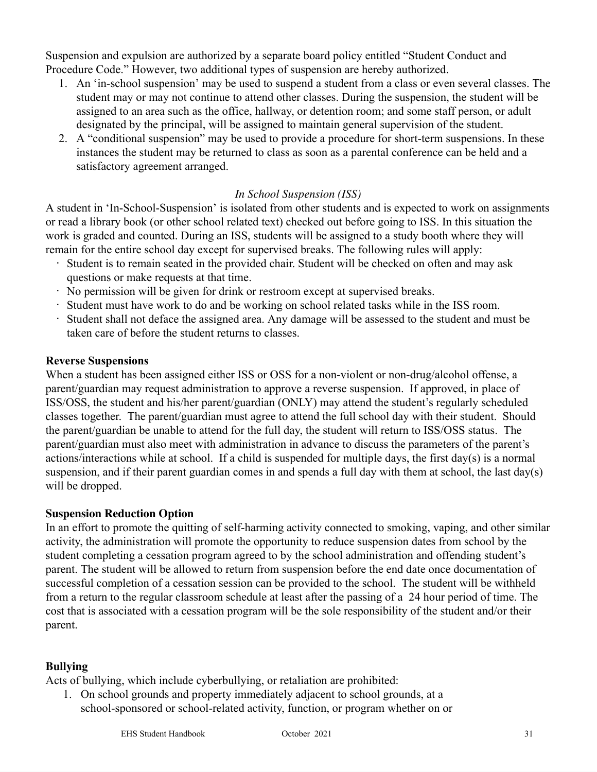Suspension and expulsion are authorized by a separate board policy entitled "Student Conduct and Procedure Code." However, two additional types of suspension are hereby authorized.

- 1. An 'in-school suspension' may be used to suspend a student from a class or even several classes. The student may or may not continue to attend other classes. During the suspension, the student will be assigned to an area such as the office, hallway, or detention room; and some staff person, or adult designated by the principal, will be assigned to maintain general supervision of the student.
- 2. A "conditional suspension" may be used to provide a procedure for short-term suspensions. In these instances the student may be returned to class as soon as a parental conference can be held and a satisfactory agreement arranged.

## *In School Suspension (ISS)*

A student in 'In-School-Suspension' is isolated from other students and is expected to work on assignments or read a library book (or other school related text) checked out before going to ISS. In this situation the work is graded and counted. During an ISS, students will be assigned to a study booth where they will remain for the entire school day except for supervised breaks. The following rules will apply:

- Student is to remain seated in the provided chair. Student will be checked on often and may ask questions or make requests at that time.
- · No permission will be given for drink or restroom except at supervised breaks.
- Student must have work to do and be working on school related tasks while in the ISS room.
- · Student shall not deface the assigned area. Any damage will be assessed to the student and must be taken care of before the student returns to classes.

## **Reverse Suspensions**

When a student has been assigned either ISS or OSS for a non-violent or non-drug/alcohol offense, a parent/guardian may request administration to approve a reverse suspension. If approved, in place of ISS/OSS, the student and his/her parent/guardian (ONLY) may attend the student's regularly scheduled classes together. The parent/guardian must agree to attend the full school day with their student. Should the parent/guardian be unable to attend for the full day, the student will return to ISS/OSS status. The parent/guardian must also meet with administration in advance to discuss the parameters of the parent's actions/interactions while at school. If a child is suspended for multiple days, the first day(s) is a normal suspension, and if their parent guardian comes in and spends a full day with them at school, the last day(s) will be dropped.

#### **Suspension Reduction Option**

In an effort to promote the quitting of self-harming activity connected to smoking, vaping, and other similar activity, the administration will promote the opportunity to reduce suspension dates from school by the student completing a cessation program agreed to by the school administration and offending student's parent. The student will be allowed to return from suspension before the end date once documentation of successful completion of a cessation session can be provided to the school. The student will be withheld from a return to the regular classroom schedule at least after the passing of a 24 hour period of time. The cost that is associated with a cessation program will be the sole responsibility of the student and/or their parent.

## **Bullying**

Acts of bullying, which include cyberbullying, or retaliation are prohibited:

1. On school grounds and property immediately adjacent to school grounds, at a school-sponsored or school-related activity, function, or program whether on or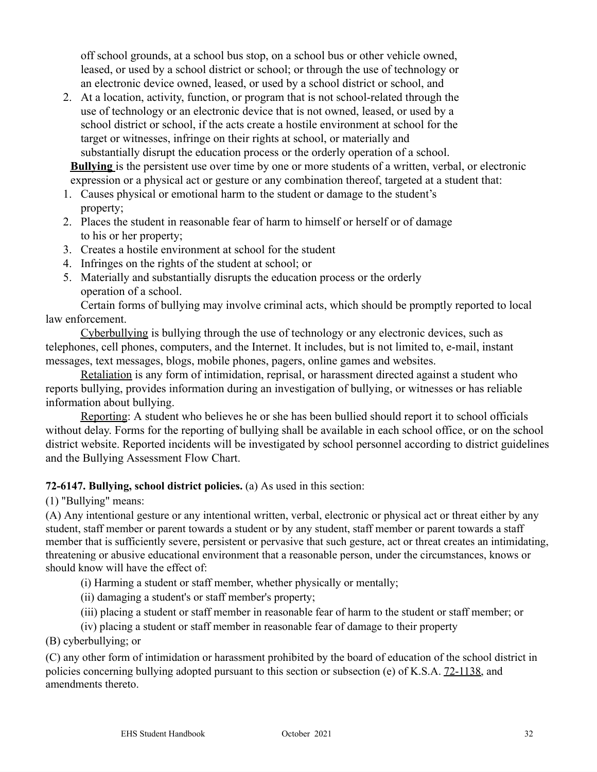off school grounds, at a school bus stop, on a school bus or other vehicle owned, leased, or used by a school district or school; or through the use of technology or an electronic device owned, leased, or used by a school district or school, and

2. At a location, activity, function, or program that is not school-related through the use of technology or an electronic device that is not owned, leased, or used by a school district or school, if the acts create a hostile environment at school for the target or witnesses, infringe on their rights at school, or materially and substantially disrupt the education process or the orderly operation of a school.

**Bullying** is the persistent use over time by one or more students of a written, verbal, or electronic expression or a physical act or gesture or any combination thereof, targeted at a student that:

- 1. Causes physical or emotional harm to the student or damage to the student's property;
- 2. Places the student in reasonable fear of harm to himself or herself or of damage to his or her property;
- 3. Creates a hostile environment at school for the student
- 4. Infringes on the rights of the student at school; or
- 5. Materially and substantially disrupts the education process or the orderly operation of a school.

Certain forms of bullying may involve criminal acts, which should be promptly reported to local law enforcement.

Cyberbullying is bullying through the use of technology or any electronic devices, such as telephones, cell phones, computers, and the Internet. It includes, but is not limited to, e-mail, instant messages, text messages, blogs, mobile phones, pagers, online games and websites.

Retaliation is any form of intimidation, reprisal, or harassment directed against a student who reports bullying, provides information during an investigation of bullying, or witnesses or has reliable information about bullying.

Reporting: A student who believes he or she has been bullied should report it to school officials without delay. Forms for the reporting of bullying shall be available in each school office, or on the school district website. Reported incidents will be investigated by school personnel according to district guidelines and the Bullying Assessment Flow Chart.

## **72-6147. Bullying, school district policies.** (a) As used in this section:

(1) "Bullying" means:

(A) Any intentional gesture or any intentional written, verbal, electronic or physical act or threat either by any student, staff member or parent towards a student or by any student, staff member or parent towards a staff member that is sufficiently severe, persistent or pervasive that such gesture, act or threat creates an intimidating, threatening or abusive educational environment that a reasonable person, under the circumstances, knows or should know will have the effect of:

(i) Harming a student or staff member, whether physically or mentally;

- (ii) damaging a student's or staff member's property;
- (iii) placing a student or staff member in reasonable fear of harm to the student or staff member; or
- (iv) placing a student or staff member in reasonable fear of damage to their property

(B) cyberbullying; or

(C) any other form of intimidation or harassment prohibited by the board of education of the school district in policies concerning bullying adopted pursuant to this section or subsection (e) of K.S.A. [72-1138,](https://www.ksrevisor.org/statutes/chapters/ch72/072_011_0038.html) and amendments thereto.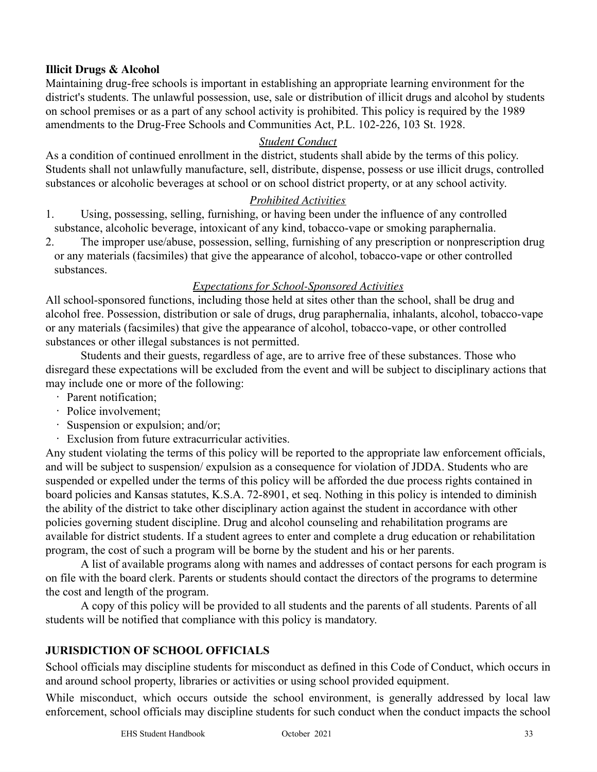## **Illicit Drugs & Alcohol**

Maintaining drug-free schools is important in establishing an appropriate learning environment for the district's students. The unlawful possession, use, sale or distribution of illicit drugs and alcohol by students on school premises or as a part of any school activity is prohibited. This policy is required by the 1989 amendments to the Drug-Free Schools and Communities Act, P.L. 102-226, 103 St. 1928.

#### *Student Conduct*

As a condition of continued enrollment in the district, students shall abide by the terms of this policy. Students shall not unlawfully manufacture, sell, distribute, dispense, possess or use illicit drugs, controlled substances or alcoholic beverages at school or on school district property, or at any school activity.

#### *Prohibited Activities*

- 1. Using, possessing, selling, furnishing, or having been under the influence of any controlled substance, alcoholic beverage, intoxicant of any kind, tobacco-vape or smoking paraphernalia.
- 2. The improper use/abuse, possession, selling, furnishing of any prescription or nonprescription drug or any materials (facsimiles) that give the appearance of alcohol, tobacco-vape or other controlled substances.

#### *Expectations for School-Sponsored Activities*

All school-sponsored functions, including those held at sites other than the school, shall be drug and alcohol free. Possession, distribution or sale of drugs, drug paraphernalia, inhalants, alcohol, tobacco-vape or any materials (facsimiles) that give the appearance of alcohol, tobacco-vape, or other controlled substances or other illegal substances is not permitted.

Students and their guests, regardless of age, are to arrive free of these substances. Those who disregard these expectations will be excluded from the event and will be subject to disciplinary actions that may include one or more of the following:

- · Parent notification;
- · Police involvement;
- · Suspension or expulsion; and/or;
- · Exclusion from future extracurricular activities.

Any student violating the terms of this policy will be reported to the appropriate law enforcement officials, and will be subject to suspension/ expulsion as a consequence for violation of JDDA. Students who are suspended or expelled under the terms of this policy will be afforded the due process rights contained in board policies and Kansas statutes, K.S.A. 72-8901, et seq. Nothing in this policy is intended to diminish the ability of the district to take other disciplinary action against the student in accordance with other policies governing student discipline. Drug and alcohol counseling and rehabilitation programs are available for district students. If a student agrees to enter and complete a drug education or rehabilitation program, the cost of such a program will be borne by the student and his or her parents.

A list of available programs along with names and addresses of contact persons for each program is on file with the board clerk. Parents or students should contact the directors of the programs to determine the cost and length of the program.

A copy of this policy will be provided to all students and the parents of all students. Parents of all students will be notified that compliance with this policy is mandatory.

#### **JURISDICTION OF SCHOOL OFFICIALS**

School officials may discipline students for misconduct as defined in this Code of Conduct, which occurs in and around school property, libraries or activities or using school provided equipment.

While misconduct, which occurs outside the school environment, is generally addressed by local law enforcement, school officials may discipline students for such conduct when the conduct impacts the school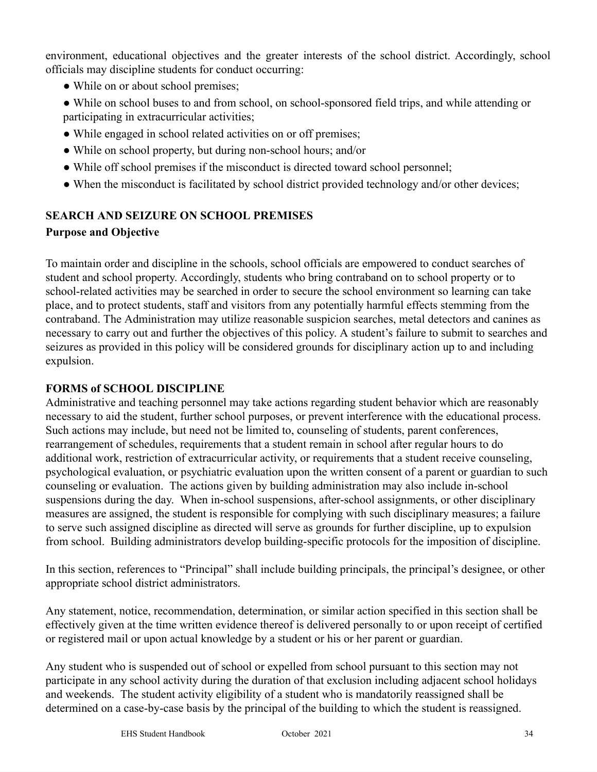environment, educational objectives and the greater interests of the school district. Accordingly, school officials may discipline students for conduct occurring:

- While on or about school premises;
- While on school buses to and from school, on school-sponsored field trips, and while attending or participating in extracurricular activities;
- While engaged in school related activities on or off premises;
- While on school property, but during non-school hours; and/or
- While off school premises if the misconduct is directed toward school personnel;
- When the misconduct is facilitated by school district provided technology and/or other devices;

# **SEARCH AND SEIZURE ON SCHOOL PREMISES**

## **Purpose and Objective**

To maintain order and discipline in the schools, school officials are empowered to conduct searches of student and school property. Accordingly, students who bring contraband on to school property or to school-related activities may be searched in order to secure the school environment so learning can take place, and to protect students, staff and visitors from any potentially harmful effects stemming from the contraband. The Administration may utilize reasonable suspicion searches, metal detectors and canines as necessary to carry out and further the objectives of this policy. A student's failure to submit to searches and seizures as provided in this policy will be considered grounds for disciplinary action up to and including expulsion.

## **FORMS of SCHOOL DISCIPLINE**

Administrative and teaching personnel may take actions regarding student behavior which are reasonably necessary to aid the student, further school purposes, or prevent interference with the educational process. Such actions may include, but need not be limited to, counseling of students, parent conferences, rearrangement of schedules, requirements that a student remain in school after regular hours to do additional work, restriction of extracurricular activity, or requirements that a student receive counseling, psychological evaluation, or psychiatric evaluation upon the written consent of a parent or guardian to such counseling or evaluation. The actions given by building administration may also include in-school suspensions during the day. When in-school suspensions, after-school assignments, or other disciplinary measures are assigned, the student is responsible for complying with such disciplinary measures; a failure to serve such assigned discipline as directed will serve as grounds for further discipline, up to expulsion from school. Building administrators develop building-specific protocols for the imposition of discipline.

In this section, references to "Principal" shall include building principals, the principal's designee, or other appropriate school district administrators.

Any statement, notice, recommendation, determination, or similar action specified in this section shall be effectively given at the time written evidence thereof is delivered personally to or upon receipt of certified or registered mail or upon actual knowledge by a student or his or her parent or guardian.

Any student who is suspended out of school or expelled from school pursuant to this section may not participate in any school activity during the duration of that exclusion including adjacent school holidays and weekends. The student activity eligibility of a student who is mandatorily reassigned shall be determined on a case-by-case basis by the principal of the building to which the student is reassigned.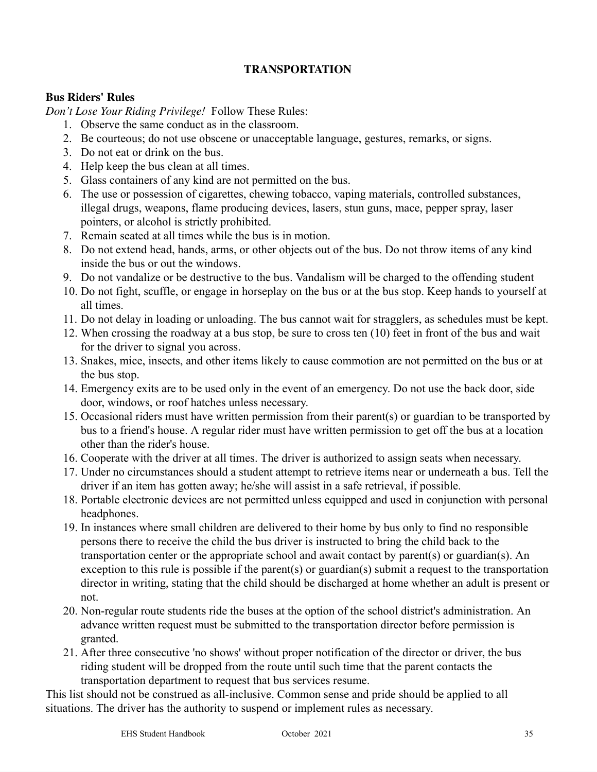## **TRANSPORTATION**

## **Bus Riders' Rules**

*Don't Lose Your Riding Privilege!* Follow These Rules:

- 1. Observe the same conduct as in the classroom.
- 2. Be courteous; do not use obscene or unacceptable language, gestures, remarks, or signs.
- 3. Do not eat or drink on the bus.
- 4. Help keep the bus clean at all times.
- 5. Glass containers of any kind are not permitted on the bus.
- 6. The use or possession of cigarettes, chewing tobacco, vaping materials, controlled substances, illegal drugs, weapons, flame producing devices, lasers, stun guns, mace, pepper spray, laser pointers, or alcohol is strictly prohibited.
- 7. Remain seated at all times while the bus is in motion.
- 8. Do not extend head, hands, arms, or other objects out of the bus. Do not throw items of any kind inside the bus or out the windows.
- 9. Do not vandalize or be destructive to the bus. Vandalism will be charged to the offending student
- 10. Do not fight, scuffle, or engage in horseplay on the bus or at the bus stop. Keep hands to yourself at all times.
- 11. Do not delay in loading or unloading. The bus cannot wait for stragglers, as schedules must be kept.
- 12. When crossing the roadway at a bus stop, be sure to cross ten (10) feet in front of the bus and wait for the driver to signal you across.
- 13. Snakes, mice, insects, and other items likely to cause commotion are not permitted on the bus or at the bus stop.
- 14. Emergency exits are to be used only in the event of an emergency. Do not use the back door, side door, windows, or roof hatches unless necessary.
- 15. Occasional riders must have written permission from their parent(s) or guardian to be transported by bus to a friend's house. A regular rider must have written permission to get off the bus at a location other than the rider's house.
- 16. Cooperate with the driver at all times. The driver is authorized to assign seats when necessary.
- 17. Under no circumstances should a student attempt to retrieve items near or underneath a bus. Tell the driver if an item has gotten away; he/she will assist in a safe retrieval, if possible.
- 18. Portable electronic devices are not permitted unless equipped and used in conjunction with personal headphones.
- 19. In instances where small children are delivered to their home by bus only to find no responsible persons there to receive the child the bus driver is instructed to bring the child back to the transportation center or the appropriate school and await contact by parent(s) or guardian(s). An exception to this rule is possible if the parent(s) or guardian(s) submit a request to the transportation director in writing, stating that the child should be discharged at home whether an adult is present or not.
- 20. Non-regular route students ride the buses at the option of the school district's administration. An advance written request must be submitted to the transportation director before permission is granted.
- 21. After three consecutive 'no shows' without proper notification of the director or driver, the bus riding student will be dropped from the route until such time that the parent contacts the transportation department to request that bus services resume.

This list should not be construed as all-inclusive. Common sense and pride should be applied to all situations. The driver has the authority to suspend or implement rules as necessary.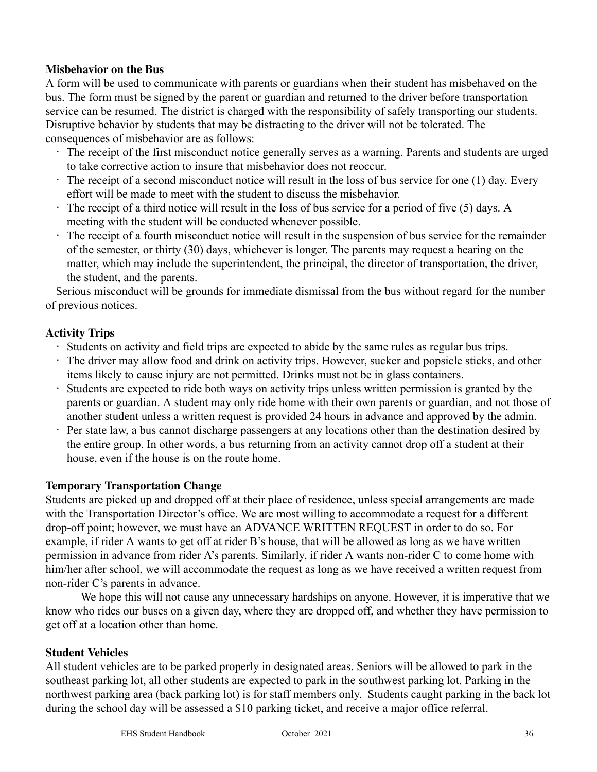## **Misbehavior on the Bus**

A form will be used to communicate with parents or guardians when their student has misbehaved on the bus. The form must be signed by the parent or guardian and returned to the driver before transportation service can be resumed. The district is charged with the responsibility of safely transporting our students. Disruptive behavior by students that may be distracting to the driver will not be tolerated. The consequences of misbehavior are as follows:

- · The receipt of the first misconduct notice generally serves as a warning. Parents and students are urged to take corrective action to insure that misbehavior does not reoccur.
- · The receipt of a second misconduct notice will result in the loss of bus service for one (1) day. Every effort will be made to meet with the student to discuss the misbehavior.
- · The receipt of a third notice will result in the loss of bus service for a period of five (5) days. A meeting with the student will be conducted whenever possible.
- The receipt of a fourth misconduct notice will result in the suspension of bus service for the remainder of the semester, or thirty (30) days, whichever is longer. The parents may request a hearing on the matter, which may include the superintendent, the principal, the director of transportation, the driver, the student, and the parents.

Serious misconduct will be grounds for immediate dismissal from the bus without regard for the number of previous notices.

## **Activity Trips**

- · Students on activity and field trips are expected to abide by the same rules as regular bus trips.
- · The driver may allow food and drink on activity trips. However, sucker and popsicle sticks, and other items likely to cause injury are not permitted. Drinks must not be in glass containers.
- Students are expected to ride both ways on activity trips unless written permission is granted by the parents or guardian. A student may only ride home with their own parents or guardian, and not those of another student unless a written request is provided 24 hours in advance and approved by the admin.
- Per state law, a bus cannot discharge passengers at any locations other than the destination desired by the entire group. In other words, a bus returning from an activity cannot drop off a student at their house, even if the house is on the route home.

#### **Temporary Transportation Change**

Students are picked up and dropped off at their place of residence, unless special arrangements are made with the Transportation Director's office. We are most willing to accommodate a request for a different drop-off point; however, we must have an ADVANCE WRITTEN REQUEST in order to do so. For example, if rider A wants to get off at rider B's house, that will be allowed as long as we have written permission in advance from rider A's parents. Similarly, if rider A wants non-rider C to come home with him/her after school, we will accommodate the request as long as we have received a written request from non-rider C's parents in advance.

We hope this will not cause any unnecessary hardships on anyone. However, it is imperative that we know who rides our buses on a given day, where they are dropped off, and whether they have permission to get off at a location other than home.

#### **Student Vehicles**

All student vehicles are to be parked properly in designated areas. Seniors will be allowed to park in the southeast parking lot, all other students are expected to park in the southwest parking lot. Parking in the northwest parking area (back parking lot) is for staff members only. Students caught parking in the back lot during the school day will be assessed a \$10 parking ticket, and receive a major office referral.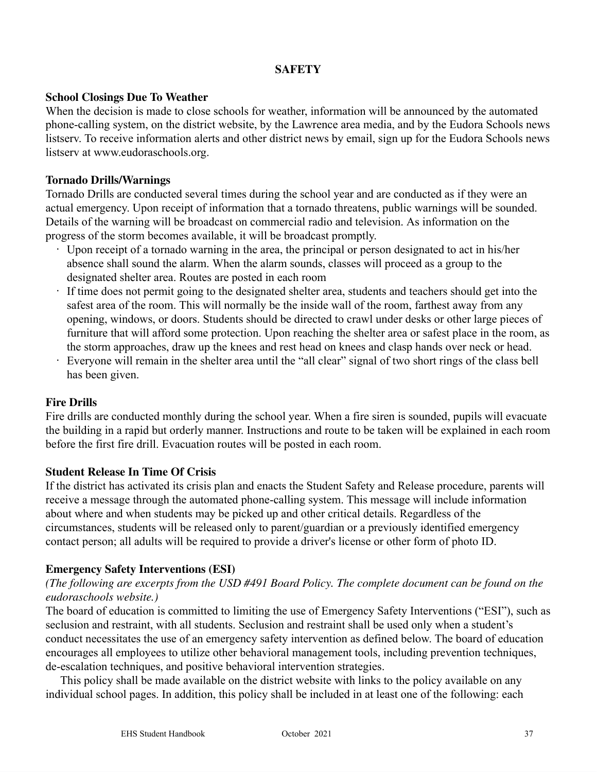## **SAFETY**

#### **School Closings Due To Weather**

When the decision is made to close schools for weather, information will be announced by the automated phone-calling system, on the district website, by the Lawrence area media, and by the Eudora Schools news listserv. To receive information alerts and other district news by email, sign up for the Eudora Schools news listserv at www.eudoraschools.org.

#### **Tornado Drills/Warnings**

Tornado Drills are conducted several times during the school year and are conducted as if they were an actual emergency. Upon receipt of information that a tornado threatens, public warnings will be sounded. Details of the warning will be broadcast on commercial radio and television. As information on the progress of the storm becomes available, it will be broadcast promptly.

- · Upon receipt of a tornado warning in the area, the principal or person designated to act in his/her absence shall sound the alarm. When the alarm sounds, classes will proceed as a group to the designated shelter area. Routes are posted in each room
- · If time does not permit going to the designated shelter area, students and teachers should get into the safest area of the room. This will normally be the inside wall of the room, farthest away from any opening, windows, or doors. Students should be directed to crawl under desks or other large pieces of furniture that will afford some protection. Upon reaching the shelter area or safest place in the room, as the storm approaches, draw up the knees and rest head on knees and clasp hands over neck or head.
- · Everyone will remain in the shelter area until the "all clear" signal of two short rings of the class bell has been given.

#### **Fire Drills**

Fire drills are conducted monthly during the school year. When a fire siren is sounded, pupils will evacuate the building in a rapid but orderly manner. Instructions and route to be taken will be explained in each room before the first fire drill. Evacuation routes will be posted in each room.

#### **Student Release In Time Of Crisis**

If the district has activated its crisis plan and enacts the Student Safety and Release procedure, parents will receive a message through the automated phone-calling system. This message will include information about where and when students may be picked up and other critical details. Regardless of the circumstances, students will be released only to parent/guardian or a previously identified emergency contact person; all adults will be required to provide a driver's license or other form of photo ID.

#### **Emergency Safety Interventions (ESI)**

## (The following are excerpts from the USD #491 Board Policy. The complete document can be found on the *eudoraschools website.)*

The board of education is committed to limiting the use of Emergency Safety Interventions ("ESI"), such as seclusion and restraint, with all students. Seclusion and restraint shall be used only when a student's conduct necessitates the use of an emergency safety intervention as defined below. The board of education encourages all employees to utilize other behavioral management tools, including prevention techniques, de-escalation techniques, and positive behavioral intervention strategies.

 This policy shall be made available on the district website with links to the policy available on any individual school pages. In addition, this policy shall be included in at least one of the following: each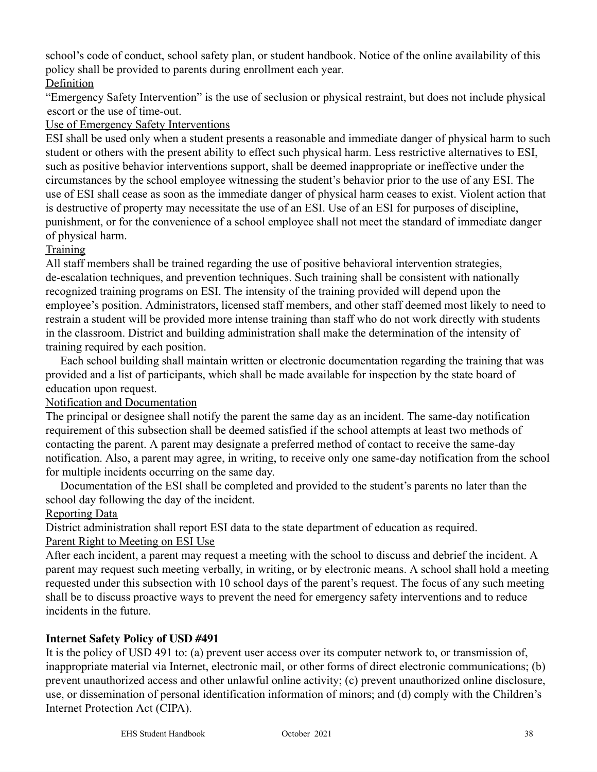school's code of conduct, school safety plan, or student handbook. Notice of the online availability of this policy shall be provided to parents during enrollment each year.

# Definition

"Emergency Safety Intervention" is the use of seclusion or physical restraint, but does not include physical escort or the use of time-out.

## Use of Emergency Safety Interventions

ESI shall be used only when a student presents a reasonable and immediate danger of physical harm to such student or others with the present ability to effect such physical harm. Less restrictive alternatives to ESI, such as positive behavior interventions support, shall be deemed inappropriate or ineffective under the circumstances by the school employee witnessing the student's behavior prior to the use of any ESI. The use of ESI shall cease as soon as the immediate danger of physical harm ceases to exist. Violent action that is destructive of property may necessitate the use of an ESI. Use of an ESI for purposes of discipline, punishment, or for the convenience of a school employee shall not meet the standard of immediate danger of physical harm.

## **Training**

All staff members shall be trained regarding the use of positive behavioral intervention strategies, de-escalation techniques, and prevention techniques. Such training shall be consistent with nationally recognized training programs on ESI. The intensity of the training provided will depend upon the employee's position. Administrators, licensed staff members, and other staff deemed most likely to need to restrain a student will be provided more intense training than staff who do not work directly with students in the classroom. District and building administration shall make the determination of the intensity of training required by each position.

 Each school building shall maintain written or electronic documentation regarding the training that was provided and a list of participants, which shall be made available for inspection by the state board of education upon request.

## Notification and Documentation

The principal or designee shall notify the parent the same day as an incident. The same-day notification requirement of this subsection shall be deemed satisfied if the school attempts at least two methods of contacting the parent. A parent may designate a preferred method of contact to receive the same-day notification. Also, a parent may agree, in writing, to receive only one same-day notification from the school for multiple incidents occurring on the same day.

 Documentation of the ESI shall be completed and provided to the student's parents no later than the school day following the day of the incident.

# Reporting Data

District administration shall report ESI data to the state department of education as required. Parent Right to Meeting on ESI Use

After each incident, a parent may request a meeting with the school to discuss and debrief the incident. A parent may request such meeting verbally, in writing, or by electronic means. A school shall hold a meeting requested under this subsection with 10 school days of the parent's request. The focus of any such meeting shall be to discuss proactive ways to prevent the need for emergency safety interventions and to reduce incidents in the future.

# **Internet Safety Policy of USD #491**

It is the policy of USD 491 to: (a) prevent user access over its computer network to, or transmission of, inappropriate material via Internet, electronic mail, or other forms of direct electronic communications; (b) prevent unauthorized access and other unlawful online activity; (c) prevent unauthorized online disclosure, use, or dissemination of personal identification information of minors; and (d) comply with the Children's Internet Protection Act (CIPA).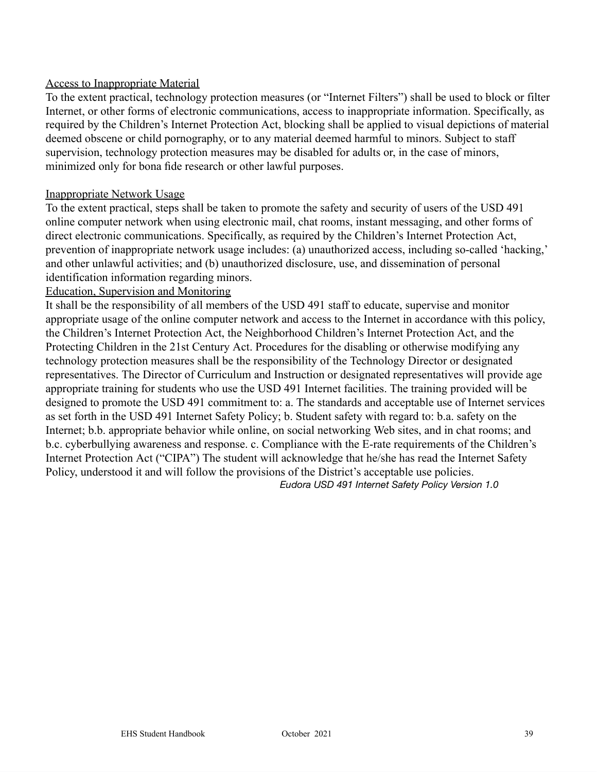## Access to Inappropriate Material

To the extent practical, technology protection measures (or "Internet Filters") shall be used to block or filter Internet, or other forms of electronic communications, access to inappropriate information. Specifically, as required by the Children's Internet Protection Act, blocking shall be applied to visual depictions of material deemed obscene or child pornography, or to any material deemed harmful to minors. Subject to staff supervision, technology protection measures may be disabled for adults or, in the case of minors, minimized only for bona fide research or other lawful purposes.

#### Inappropriate Network Usage

To the extent practical, steps shall be taken to promote the safety and security of users of the USD 491 online computer network when using electronic mail, chat rooms, instant messaging, and other forms of direct electronic communications. Specifically, as required by the Children's Internet Protection Act, prevention of inappropriate network usage includes: (a) unauthorized access, including so-called 'hacking,' and other unlawful activities; and (b) unauthorized disclosure, use, and dissemination of personal identification information regarding minors.

#### Education, Supervision and Monitoring

It shall be the responsibility of all members of the USD 491 staff to educate, supervise and monitor appropriate usage of the online computer network and access to the Internet in accordance with this policy, the Children's Internet Protection Act, the Neighborhood Children's Internet Protection Act, and the Protecting Children in the 21st Century Act. Procedures for the disabling or otherwise modifying any technology protection measures shall be the responsibility of the Technology Director or designated representatives. The Director of Curriculum and Instruction or designated representatives will provide age appropriate training for students who use the USD 491 Internet facilities. The training provided will be designed to promote the USD 491 commitment to: a. The standards and acceptable use of Internet services as set forth in the USD 491 Internet Safety Policy; b. Student safety with regard to: b.a. safety on the Internet; b.b. appropriate behavior while online, on social networking Web sites, and in chat rooms; and b.c. cyberbullying awareness and response. c. Compliance with the E-rate requirements of the Children's Internet Protection Act ("CIPA") The student will acknowledge that he/she has read the Internet Safety Policy, understood it and will follow the provisions of the District's acceptable use policies.

*Eudora USD 491 Internet Safety Policy Version 1.0*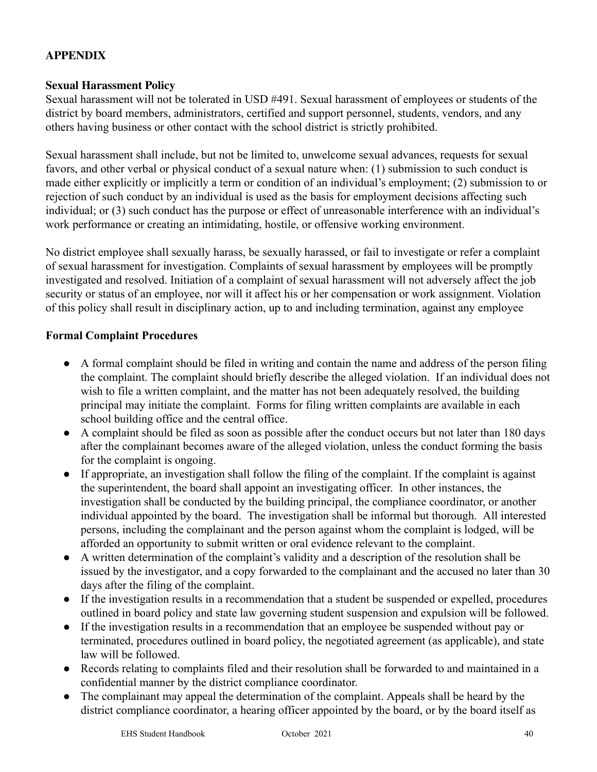# **APPENDIX**

## **Sexual Harassment Policy**

Sexual harassment will not be tolerated in USD #491. Sexual harassment of employees or students of the district by board members, administrators, certified and support personnel, students, vendors, and any others having business or other contact with the school district is strictly prohibited.

Sexual harassment shall include, but not be limited to, unwelcome sexual advances, requests for sexual favors, and other verbal or physical conduct of a sexual nature when: (1) submission to such conduct is made either explicitly or implicitly a term or condition of an individual's employment; (2) submission to or rejection of such conduct by an individual is used as the basis for employment decisions affecting such individual; or (3) such conduct has the purpose or effect of unreasonable interference with an individual's work performance or creating an intimidating, hostile, or offensive working environment.

No district employee shall sexually harass, be sexually harassed, or fail to investigate or refer a complaint of sexual harassment for investigation. Complaints of sexual harassment by employees will be promptly investigated and resolved. Initiation of a complaint of sexual harassment will not adversely affect the job security or status of an employee, nor will it affect his or her compensation or work assignment. Violation of this policy shall result in disciplinary action, up to and including termination, against any employee

## **Formal Complaint Procedures**

- A formal complaint should be filed in writing and contain the name and address of the person filing the complaint. The complaint should briefly describe the alleged violation. If an individual does not wish to file a written complaint, and the matter has not been adequately resolved, the building principal may initiate the complaint. Forms for filing written complaints are available in each school building office and the central office.
- A complaint should be filed as soon as possible after the conduct occurs but not later than 180 days after the complainant becomes aware of the alleged violation, unless the conduct forming the basis for the complaint is ongoing.
- If appropriate, an investigation shall follow the filing of the complaint. If the complaint is against the superintendent, the board shall appoint an investigating officer. In other instances, the investigation shall be conducted by the building principal, the compliance coordinator, or another individual appointed by the board. The investigation shall be informal but thorough. All interested persons, including the complainant and the person against whom the complaint is lodged, will be afforded an opportunity to submit written or oral evidence relevant to the complaint.
- A written determination of the complaint's validity and a description of the resolution shall be issued by the investigator, and a copy forwarded to the complainant and the accused no later than 30 days after the filing of the complaint.
- If the investigation results in a recommendation that a student be suspended or expelled, procedures outlined in board policy and state law governing student suspension and expulsion will be followed.
- If the investigation results in a recommendation that an employee be suspended without pay or terminated, procedures outlined in board policy, the negotiated agreement (as applicable), and state law will be followed.
- Records relating to complaints filed and their resolution shall be forwarded to and maintained in a confidential manner by the district compliance coordinator.
- The complainant may appeal the determination of the complaint. Appeals shall be heard by the district compliance coordinator, a hearing officer appointed by the board, or by the board itself as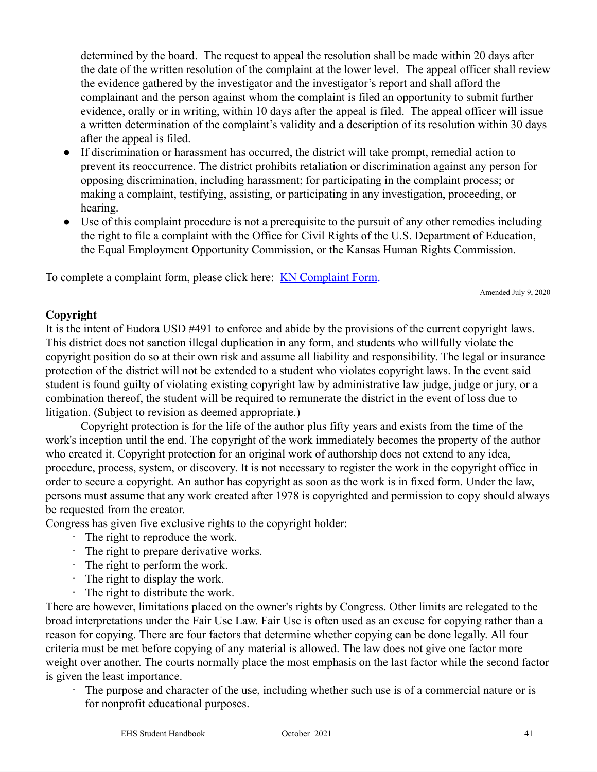determined by the board. The request to appeal the resolution shall be made within 20 days after the date of the written resolution of the complaint at the lower level. The appeal officer shall review the evidence gathered by the investigator and the investigator's report and shall afford the complainant and the person against whom the complaint is filed an opportunity to submit further evidence, orally or in writing, within 10 days after the appeal is filed. The appeal officer will issue a written determination of the complaint's validity and a description of its resolution within 30 days after the appeal is filed.

- If discrimination or harassment has occurred, the district will take prompt, remedial action to prevent its reoccurrence. The district prohibits retaliation or discrimination against any person for opposing discrimination, including harassment; for participating in the complaint process; or making a complaint, testifying, assisting, or participating in any investigation, proceeding, or hearing.
- Use of this complaint procedure is not a prerequisite to the pursuit of any other remedies including the right to file a complaint with the Office for Civil Rights of the U.S. Department of Education, the Equal Employment Opportunity Commission, or the Kansas Human Rights Commission.

To complete a complaint form, please click here: **KN [Complaint](https://www.eudoraschools.org/cms/lib/KS01906911/Centricity/Domain/480/Upated_KN-complaints_form.dotx) Form.** 

Amended July 9, 2020

## **Copyright**

It is the intent of Eudora USD #491 to enforce and abide by the provisions of the current copyright laws. This district does not sanction illegal duplication in any form, and students who willfully violate the copyright position do so at their own risk and assume all liability and responsibility. The legal or insurance protection of the district will not be extended to a student who violates copyright laws. In the event said student is found guilty of violating existing copyright law by administrative law judge, judge or jury, or a combination thereof, the student will be required to remunerate the district in the event of loss due to litigation. (Subject to revision as deemed appropriate.)

Copyright protection is for the life of the author plus fifty years and exists from the time of the work's inception until the end. The copyright of the work immediately becomes the property of the author who created it. Copyright protection for an original work of authorship does not extend to any idea, procedure, process, system, or discovery. It is not necessary to register the work in the copyright office in order to secure a copyright. An author has copyright as soon as the work is in fixed form. Under the law, persons must assume that any work created after 1978 is copyrighted and permission to copy should always be requested from the creator.

Congress has given five exclusive rights to the copyright holder:

- · The right to reproduce the work.
- · The right to prepare derivative works.
- · The right to perform the work.
- · The right to display the work.
- · The right to distribute the work.

There are however, limitations placed on the owner's rights by Congress. Other limits are relegated to the broad interpretations under the Fair Use Law. Fair Use is often used as an excuse for copying rather than a reason for copying. There are four factors that determine whether copying can be done legally. All four criteria must be met before copying of any material is allowed. The law does not give one factor more weight over another. The courts normally place the most emphasis on the last factor while the second factor is given the least importance.

The purpose and character of the use, including whether such use is of a commercial nature or is for nonprofit educational purposes.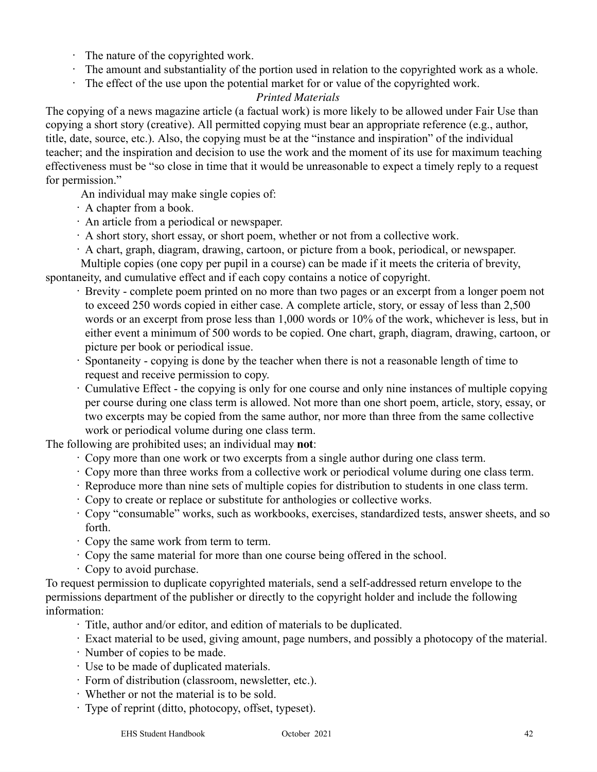- · The nature of the copyrighted work.
- · The amount and substantiality of the portion used in relation to the copyrighted work as a whole.
- · The effect of the use upon the potential market for or value of the copyrighted work.

## *Printed Materials*

The copying of a news magazine article (a factual work) is more likely to be allowed under Fair Use than copying a short story (creative). All permitted copying must bear an appropriate reference (e.g., author, title, date, source, etc.). Also, the copying must be at the "instance and inspiration" of the individual teacher; and the inspiration and decision to use the work and the moment of its use for maximum teaching effectiveness must be "so close in time that it would be unreasonable to expect a timely reply to a request for permission."

An individual may make single copies of:

- · A chapter from a book.
- · An article from a periodical or newspaper.
- · A short story, short essay, or short poem, whether or not from a collective work.
- · A chart, graph, diagram, drawing, cartoon, or picture from a book, periodical, or newspaper.

Multiple copies (one copy per pupil in a course) can be made if it meets the criteria of brevity,

spontaneity, and cumulative effect and if each copy contains a notice of copyright.

- · Brevity complete poem printed on no more than two pages or an excerpt from a longer poem not to exceed 250 words copied in either case. A complete article, story, or essay of less than 2,500 words or an excerpt from prose less than 1,000 words or 10% of the work, whichever is less, but in either event a minimum of 500 words to be copied. One chart, graph, diagram, drawing, cartoon, or picture per book or periodical issue.
- Spontaneity copying is done by the teacher when there is not a reasonable length of time to request and receive permission to copy.
- · Cumulative Effect the copying is only for one course and only nine instances of multiple copying per course during one class term is allowed. Not more than one short poem, article, story, essay, or two excerpts may be copied from the same author, nor more than three from the same collective work or periodical volume during one class term.

The following are prohibited uses; an individual may **not**:

- · Copy more than one work or two excerpts from a single author during one class term.
- · Copy more than three works from a collective work or periodical volume during one class term.
- · Reproduce more than nine sets of multiple copies for distribution to students in one class term.
- · Copy to create or replace or substitute for anthologies or collective works.
- · Copy "consumable" works, such as workbooks, exercises, standardized tests, answer sheets, and so forth.
- · Copy the same work from term to term.
- · Copy the same material for more than one course being offered in the school.
- · Copy to avoid purchase.

To request permission to duplicate copyrighted materials, send a self-addressed return envelope to the permissions department of the publisher or directly to the copyright holder and include the following information:

- · Title, author and/or editor, and edition of materials to be duplicated.
- · Exact material to be used, giving amount, page numbers, and possibly a photocopy of the material.
- · Number of copies to be made.
- · Use to be made of duplicated materials.
- · Form of distribution (classroom, newsletter, etc.).
- · Whether or not the material is to be sold.
- · Type of reprint (ditto, photocopy, offset, typeset).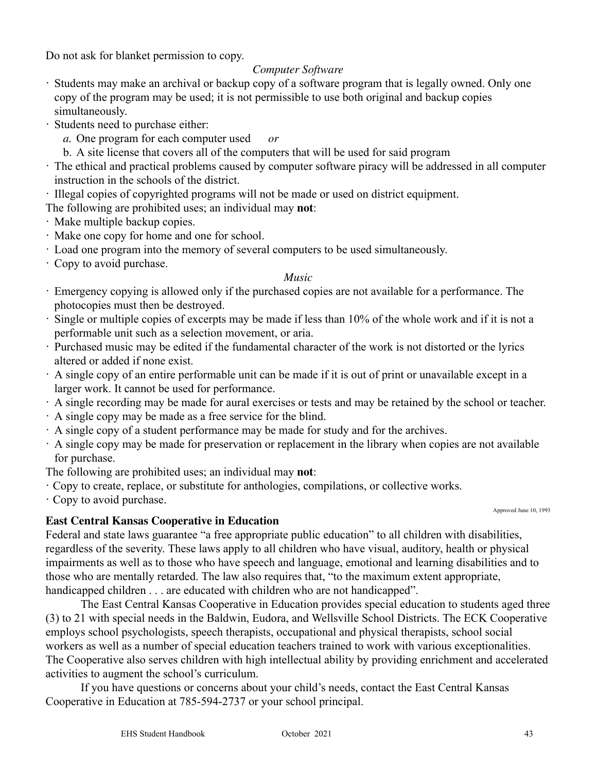Do not ask for blanket permission to copy.

## *Computer Software*

- · Students may make an archival or backup copy of a software program that is legally owned. Only one copy of the program may be used; it is not permissible to use both original and backup copies simultaneously.
- · Students need to purchase either:
	- *a.* One program for each computer used *or*
	- b. A site license that covers all of the computers that will be used for said program
- · The ethical and practical problems caused by computer software piracy will be addressed in all computer instruction in the schools of the district.
- · Illegal copies of copyrighted programs will not be made or used on district equipment.
- The following are prohibited uses; an individual may **not**:
- · Make multiple backup copies.
- · Make one copy for home and one for school.
- · Load one program into the memory of several computers to be used simultaneously.
- · Copy to avoid purchase.

#### *Music*

- · Emergency copying is allowed only if the purchased copies are not available for a performance. The photocopies must then be destroyed.
- Single or multiple copies of excerpts may be made if less than 10% of the whole work and if it is not a performable unit such as a selection movement, or aria.
- · Purchased music may be edited if the fundamental character of the work is not distorted or the lyrics altered or added if none exist.
- · A single copy of an entire performable unit can be made if it is out of print or unavailable except in a larger work. It cannot be used for performance.
- · A single recording may be made for aural exercises or tests and may be retained by the school or teacher.
- · A single copy may be made as a free service for the blind.
- · A single copy of a student performance may be made for study and for the archives.
- · A single copy may be made for preservation or replacement in the library when copies are not available for purchase.

The following are prohibited uses; an individual may **not**:

- · Copy to create, replace, or substitute for anthologies, compilations, or collective works.
- · Copy to avoid purchase.

Approved June 10, 1993

## **East Central Kansas Cooperative in Education**

Federal and state laws guarantee "a free appropriate public education" to all children with disabilities, regardless of the severity. These laws apply to all children who have visual, auditory, health or physical impairments as well as to those who have speech and language, emotional and learning disabilities and to those who are mentally retarded. The law also requires that, "to the maximum extent appropriate, handicapped children . . . are educated with children who are not handicapped".

The East Central Kansas Cooperative in Education provides special education to students aged three (3) to 21 with special needs in the Baldwin, Eudora, and Wellsville School Districts. The ECK Cooperative employs school psychologists, speech therapists, occupational and physical therapists, school social workers as well as a number of special education teachers trained to work with various exceptionalities. The Cooperative also serves children with high intellectual ability by providing enrichment and accelerated activities to augment the school's curriculum.

If you have questions or concerns about your child's needs, contact the East Central Kansas Cooperative in Education at 785-594-2737 or your school principal.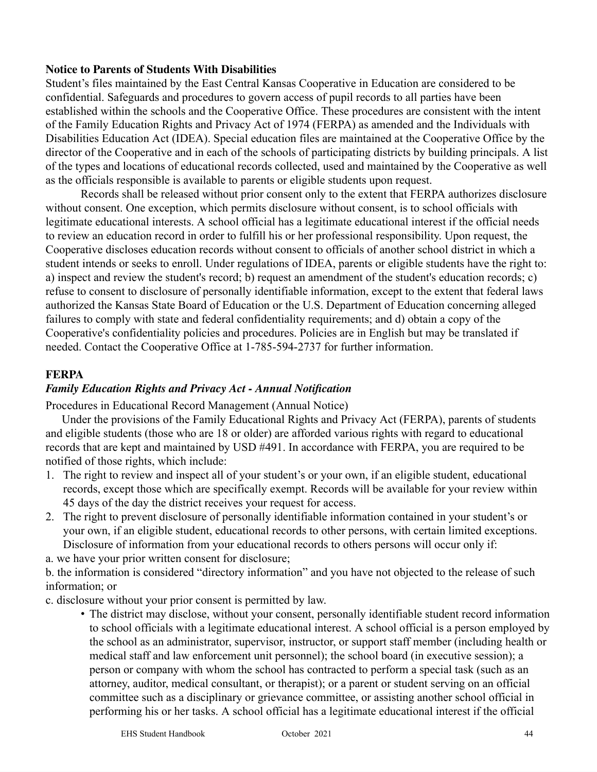## **Notice to Parents of Students With Disabilities**

Student's files maintained by the East Central Kansas Cooperative in Education are considered to be confidential. Safeguards and procedures to govern access of pupil records to all parties have been established within the schools and the Cooperative Office. These procedures are consistent with the intent of the Family Education Rights and Privacy Act of 1974 (FERPA) as amended and the Individuals with Disabilities Education Act (IDEA). Special education files are maintained at the Cooperative Office by the director of the Cooperative and in each of the schools of participating districts by building principals. A list of the types and locations of educational records collected, used and maintained by the Cooperative as well as the officials responsible is available to parents or eligible students upon request.

Records shall be released without prior consent only to the extent that FERPA authorizes disclosure without consent. One exception, which permits disclosure without consent, is to school officials with legitimate educational interests. A school official has a legitimate educational interest if the official needs to review an education record in order to fulfill his or her professional responsibility. Upon request, the Cooperative discloses education records without consent to officials of another school district in which a student intends or seeks to enroll. Under regulations of IDEA, parents or eligible students have the right to: a) inspect and review the student's record; b) request an amendment of the student's education records; c) refuse to consent to disclosure of personally identifiable information, except to the extent that federal laws authorized the Kansas State Board of Education or the U.S. Department of Education concerning alleged failures to comply with state and federal confidentiality requirements; and d) obtain a copy of the Cooperative's confidentiality policies and procedures. Policies are in English but may be translated if needed. Contact the Cooperative Office at 1-785-594-2737 for further information.

## **FERPA**

## *Family Education Rights and Privacy Act - Annual Notification*

Procedures in Educational Record Management (Annual Notice)

Under the provisions of the Family Educational Rights and Privacy Act (FERPA), parents of students and eligible students (those who are 18 or older) are afforded various rights with regard to educational records that are kept and maintained by USD #491. In accordance with FERPA, you are required to be notified of those rights, which include:

- 1. The right to review and inspect all of your student's or your own, if an eligible student, educational records, except those which are specifically exempt. Records will be available for your review within 45 days of the day the district receives your request for access.
- 2. The right to prevent disclosure of personally identifiable information contained in your student's or your own, if an eligible student, educational records to other persons, with certain limited exceptions. Disclosure of information from your educational records to others persons will occur only if:
- a. we have your prior written consent for disclosure;

b. the information is considered "directory information" and you have not objected to the release of such information; or

- c. disclosure without your prior consent is permitted by law.
	- The district may disclose, without your consent, personally identifiable student record information to school officials with a legitimate educational interest. A school official is a person employed by the school as an administrator, supervisor, instructor, or support staff member (including health or medical staff and law enforcement unit personnel); the school board (in executive session); a person or company with whom the school has contracted to perform a special task (such as an attorney, auditor, medical consultant, or therapist); or a parent or student serving on an official committee such as a disciplinary or grievance committee, or assisting another school official in performing his or her tasks. A school official has a legitimate educational interest if the official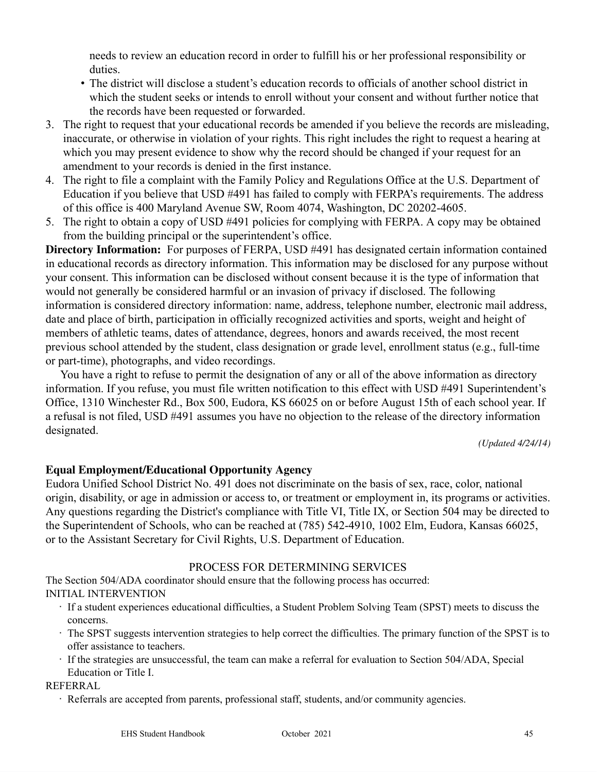needs to review an education record in order to fulfill his or her professional responsibility or duties.

- The district will disclose a student's education records to officials of another school district in which the student seeks or intends to enroll without your consent and without further notice that the records have been requested or forwarded.
- 3. The right to request that your educational records be amended if you believe the records are misleading, inaccurate, or otherwise in violation of your rights. This right includes the right to request a hearing at which you may present evidence to show why the record should be changed if your request for an amendment to your records is denied in the first instance.
- 4. The right to file a complaint with the Family Policy and Regulations Office at the U.S. Department of Education if you believe that USD #491 has failed to comply with FERPA's requirements. The address of this office is 400 Maryland Avenue SW, Room 4074, Washington, DC 20202-4605.
- 5. The right to obtain a copy of USD #491 policies for complying with FERPA. A copy may be obtained from the building principal or the superintendent's office.

**Directory Information:** For purposes of FERPA, USD #491 has designated certain information contained in educational records as directory information. This information may be disclosed for any purpose without your consent. This information can be disclosed without consent because it is the type of information that would not generally be considered harmful or an invasion of privacy if disclosed. The following information is considered directory information: name, address, telephone number, electronic mail address, date and place of birth, participation in officially recognized activities and sports, weight and height of members of athletic teams, dates of attendance, degrees, honors and awards received, the most recent previous school attended by the student, class designation or grade level, enrollment status (e.g., full-time or part-time), photographs, and video recordings.

 You have a right to refuse to permit the designation of any or all of the above information as directory information. If you refuse, you must file written notification to this effect with USD #491 Superintendent's Office, 1310 Winchester Rd., Box 500, Eudora, KS 66025 on or before August 15th of each school year. If a refusal is not filed, USD #491 assumes you have no objection to the release of the directory information designated.

*(Updated 4/24/14)*

## **Equal Employment/Educational Opportunity Agency**

Eudora Unified School District No. 491 does not discriminate on the basis of sex, race, color, national origin, disability, or age in admission or access to, or treatment or employment in, its programs or activities. Any questions regarding the District's compliance with Title VI, Title IX, or Section 504 may be directed to the Superintendent of Schools, who can be reached at (785) 542-4910, 1002 Elm, Eudora, Kansas 66025, or to the Assistant Secretary for Civil Rights, U.S. Department of Education.

#### PROCESS FOR DETERMINING SERVICES

The Section 504/ADA coordinator should ensure that the following process has occurred: INITIAL INTERVENTION

- · If a student experiences educational difficulties, a Student Problem Solving Team (SPST) meets to discuss the concerns.
- · The SPST suggests intervention strategies to help correct the difficulties. The primary function of the SPST is to offer assistance to teachers.
- · If the strategies are unsuccessful, the team can make a referral for evaluation to Section 504/ADA, Special Education or Title I.

REFERRAL

· Referrals are accepted from parents, professional staff, students, and/or community agencies.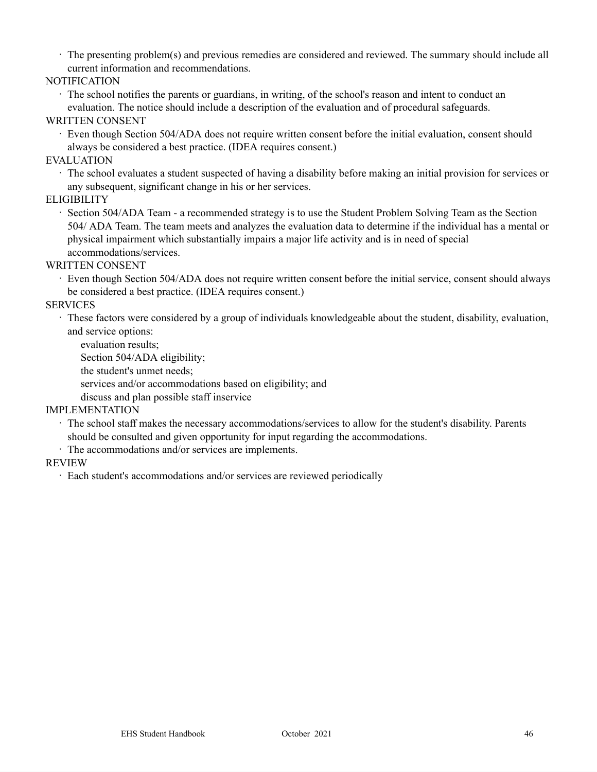· The presenting problem(s) and previous remedies are considered and reviewed. The summary should include all current information and recommendations.

#### **NOTIFICATION**

· The school notifies the parents or guardians, in writing, of the school's reason and intent to conduct an evaluation. The notice should include a description of the evaluation and of procedural safeguards.

#### WRITTEN CONSENT

· Even though Section 504/ADA does not require written consent before the initial evaluation, consent should always be considered a best practice. (IDEA requires consent.)

#### EVALUATION

· The school evaluates a student suspected of having a disability before making an initial provision for services or any subsequent, significant change in his or her services.

#### **ELIGIBILITY**

· Section 504/ADA Team - a recommended strategy is to use the Student Problem Solving Team as the Section 504/ ADA Team. The team meets and analyzes the evaluation data to determine if the individual has a mental or physical impairment which substantially impairs a major life activity and is in need of special accommodations/services.

#### WRITTEN CONSENT

· Even though Section 504/ADA does not require written consent before the initial service, consent should always be considered a best practice. (IDEA requires consent.)

#### SERVICES

- · These factors were considered by a group of individuals knowledgeable about the student, disability, evaluation, and service options:
	- evaluation results;

Section 504/ADA eligibility;

the student's unmet needs;

services and/or accommodations based on eligibility; and

discuss and plan possible staff inservice

#### IMPLEMENTATION

- · The school staff makes the necessary accommodations/services to allow for the student's disability. Parents should be consulted and given opportunity for input regarding the accommodations.
- · The accommodations and/or services are implements.

#### REVIEW

· Each student's accommodations and/or services are reviewed periodically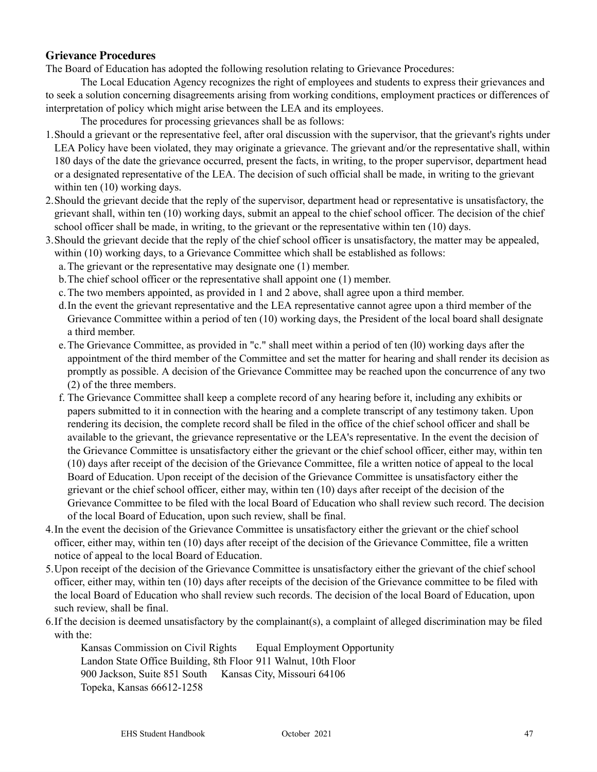#### **Grievance Procedures**

The Board of Education has adopted the following resolution relating to Grievance Procedures:

The Local Education Agency recognizes the right of employees and students to express their grievances and to seek a solution concerning disagreements arising from working conditions, employment practices or differences of interpretation of policy which might arise between the LEA and its employees.

The procedures for processing grievances shall be as follows:

- 1.Should a grievant or the representative feel, after oral discussion with the supervisor, that the grievant's rights under LEA Policy have been violated, they may originate a grievance. The grievant and/or the representative shall, within 180 days of the date the grievance occurred, present the facts, in writing, to the proper supervisor, department head or a designated representative of the LEA. The decision of such official shall be made, in writing to the grievant within ten  $(10)$  working days.
- 2.Should the grievant decide that the reply of the supervisor, department head or representative is unsatisfactory, the grievant shall, within ten (10) working days, submit an appeal to the chief school officer. The decision of the chief school officer shall be made, in writing, to the grievant or the representative within ten (10) days.
- 3.Should the grievant decide that the reply of the chief school officer is unsatisfactory, the matter may be appealed, within (10) working days, to a Grievance Committee which shall be established as follows:
	- a.The grievant or the representative may designate one (1) member.
	- b.The chief school officer or the representative shall appoint one (1) member.
	- c.The two members appointed, as provided in 1 and 2 above, shall agree upon a third member.
	- d.In the event the grievant representative and the LEA representative cannot agree upon a third member of the Grievance Committee within a period of ten (10) working days, the President of the local board shall designate a third member.
	- e.The Grievance Committee, as provided in "c." shall meet within a period of ten (l0) working days after the appointment of the third member of the Committee and set the matter for hearing and shall render its decision as promptly as possible. A decision of the Grievance Committee may be reached upon the concurrence of any two (2) of the three members.
	- f. The Grievance Committee shall keep a complete record of any hearing before it, including any exhibits or papers submitted to it in connection with the hearing and a complete transcript of any testimony taken. Upon rendering its decision, the complete record shall be filed in the office of the chief school officer and shall be available to the grievant, the grievance representative or the LEA's representative. In the event the decision of the Grievance Committee is unsatisfactory either the grievant or the chief school officer, either may, within ten (10) days after receipt of the decision of the Grievance Committee, file a written notice of appeal to the local Board of Education. Upon receipt of the decision of the Grievance Committee is unsatisfactory either the grievant or the chief school officer, either may, within ten (10) days after receipt of the decision of the Grievance Committee to be filed with the local Board of Education who shall review such record. The decision of the local Board of Education, upon such review, shall be final.
- 4.In the event the decision of the Grievance Committee is unsatisfactory either the grievant or the chief school officer, either may, within ten (10) days after receipt of the decision of the Grievance Committee, file a written notice of appeal to the local Board of Education.
- 5.Upon receipt of the decision of the Grievance Committee is unsatisfactory either the grievant of the chief school officer, either may, within ten (10) days after receipts of the decision of the Grievance committee to be filed with the local Board of Education who shall review such records. The decision of the local Board of Education, upon such review, shall be final.
- 6.If the decision is deemed unsatisfactory by the complainant(s), a complaint of alleged discrimination may be filed with the:

Kansas Commission on Civil Rights Equal Employment Opportunity Landon State Office Building, 8th Floor 911 Walnut, 10th Floor 900 Jackson, Suite 851 South Kansas City, Missouri 64106 Topeka, Kansas 66612-1258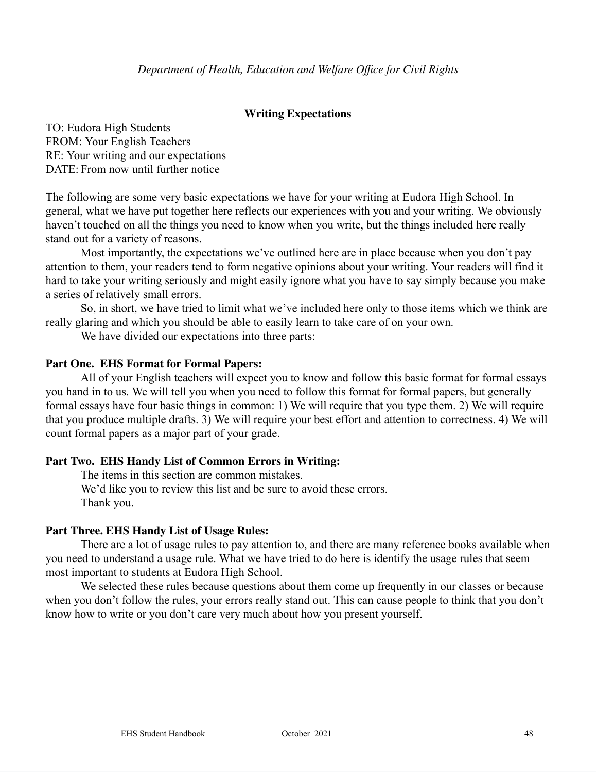#### **Writing Expectations**

TO: Eudora High Students FROM: Your English Teachers RE: Your writing and our expectations DATE: From now until further notice

The following are some very basic expectations we have for your writing at Eudora High School. In general, what we have put together here reflects our experiences with you and your writing. We obviously haven't touched on all the things you need to know when you write, but the things included here really stand out for a variety of reasons.

Most importantly, the expectations we've outlined here are in place because when you don't pay attention to them, your readers tend to form negative opinions about your writing. Your readers will find it hard to take your writing seriously and might easily ignore what you have to say simply because you make a series of relatively small errors.

So, in short, we have tried to limit what we've included here only to those items which we think are really glaring and which you should be able to easily learn to take care of on your own.

We have divided our expectations into three parts:

#### **Part One. EHS Format for Formal Papers:**

All of your English teachers will expect you to know and follow this basic format for formal essays you hand in to us. We will tell you when you need to follow this format for formal papers, but generally formal essays have four basic things in common: 1) We will require that you type them. 2) We will require that you produce multiple drafts. 3) We will require your best effort and attention to correctness. 4) We will count formal papers as a major part of your grade.

#### **Part Two. EHS Handy List of Common Errors in Writing:**

The items in this section are common mistakes. We'd like you to review this list and be sure to avoid these errors. Thank you.

#### **Part Three. EHS Handy List of Usage Rules:**

There are a lot of usage rules to pay attention to, and there are many reference books available when you need to understand a usage rule. What we have tried to do here is identify the usage rules that seem most important to students at Eudora High School.

We selected these rules because questions about them come up frequently in our classes or because when you don't follow the rules, your errors really stand out. This can cause people to think that you don't know how to write or you don't care very much about how you present yourself.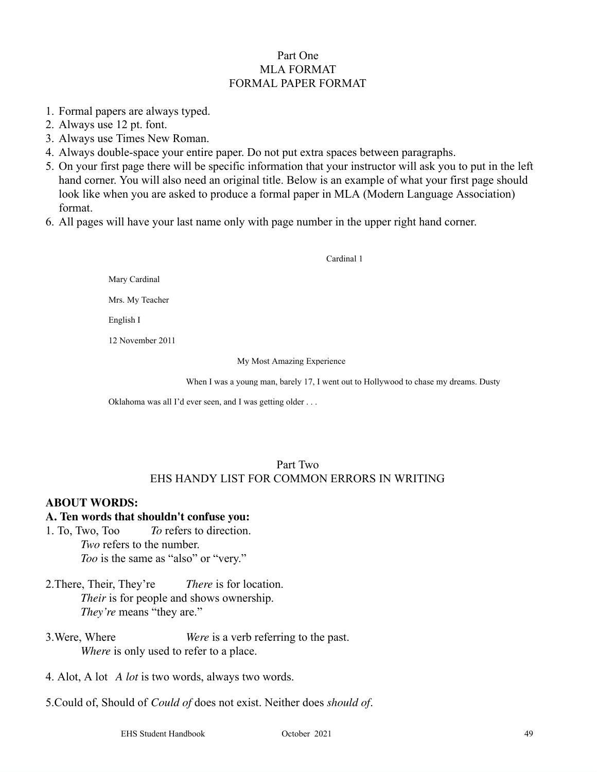## Part One MLA FORMAT FORMAL PAPER FORMAT

- 1. Formal papers are always typed.
- 2. Always use 12 pt. font.
- 3. Always use Times New Roman.
- 4. Always double-space your entire paper. Do not put extra spaces between paragraphs.
- 5. On your first page there will be specific information that your instructor will ask you to put in the left hand corner. You will also need an original title. Below is an example of what your first page should look like when you are asked to produce a formal paper in MLA (Modern Language Association) format.
- 6. All pages will have your last name only with page number in the upper right hand corner.

Cardinal 1

Mary Cardinal

Mrs. My Teacher

English I

12 November 2011

My Most Amazing Experience

When I was a young man, barely 17, I went out to Hollywood to chase my dreams. Dusty

Oklahoma was all I'd ever seen, and I was getting older . . .

#### Part Two

## EHS HANDY LIST FOR COMMON ERRORS IN WRITING

#### **ABOUT WORDS:**

#### **A. Ten words that shouldn't confuse you:**

- 1. To, Two, Too *To* refers to direction. *Two* refers to the number. *Too* is the same as "also" or "very."
- 2.There, Their, They're *There* is for location. *Their* is for people and shows ownership. *They're* means "they are."
- 3.Were, Where *Were* is a verb referring to the past. *Where* is only used to refer to a place.
- 4. Alot, A lot *A lot* is two words, always two words.
- 5.Could of, Should of *Could of* does not exist. Neither does *should of*.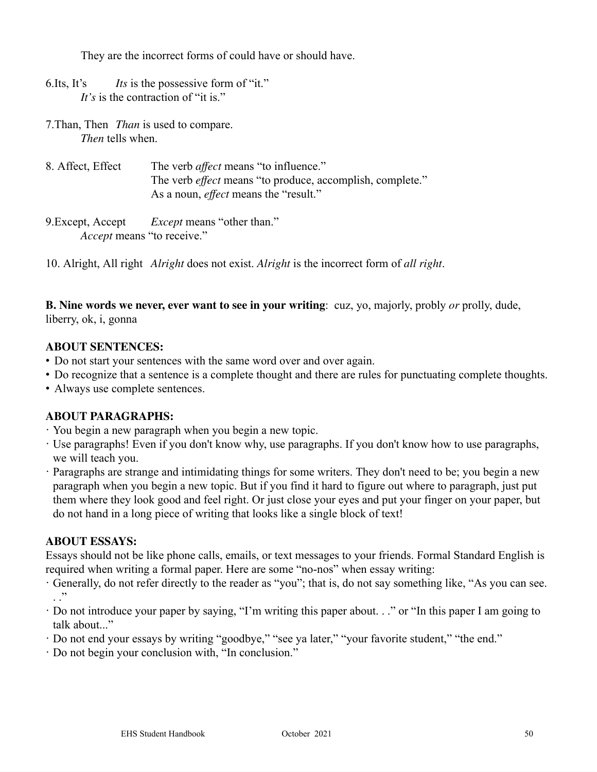They are the incorrect forms of could have or should have.

- 6.Its, It's *Its* is the possessive form of "it." *It's* is the contraction of "it is."
- 7.Than, Then *Than* is used to compare. *Then* tells when.

| 8. Affect, Effect | The verb <i>affect</i> means "to influence."                     |
|-------------------|------------------------------------------------------------------|
|                   | The verb <i>effect</i> means "to produce, accomplish, complete." |
|                   | As a noun, <i>effect</i> means the "result."                     |
|                   |                                                                  |

9.Except, Accept *Except* means "other than." *Accept* means "to receive."

10. Alright, All right *Alright* does not exist. *Alright* is the incorrect form of *all right*.

**B. Nine words we never, ever want to see in your writing**: cuz, yo, majorly, probly *or* prolly, dude, liberry, ok, i, gonna

## **ABOUT SENTENCES:**

- Do not start your sentences with the same word over and over again.
- Do recognize that a sentence is a complete thought and there are rules for punctuating complete thoughts.
- Always use complete sentences.

## **ABOUT PARAGRAPHS:**

- · You begin a new paragraph when you begin a new topic.
- · Use paragraphs! Even if you don't know why, use paragraphs. If you don't know how to use paragraphs, we will teach you.
- · Paragraphs are strange and intimidating things for some writers. They don't need to be; you begin a new paragraph when you begin a new topic. But if you find it hard to figure out where to paragraph, just put them where they look good and feel right. Or just close your eyes and put your finger on your paper, but do not hand in a long piece of writing that looks like a single block of text!

## **ABOUT ESSAYS:**

Essays should not be like phone calls, emails, or text messages to your friends. Formal Standard English is required when writing a formal paper. Here are some "no-nos" when essay writing:

- · Generally, do not refer directly to the reader as "you"; that is, do not say something like, "As you can see.  $\cdot$  .  $\cdot$
- · Do not introduce your paper by saying, "I'm writing this paper about. . ." or "In this paper I am going to talk about..."
- · Do not end your essays by writing "goodbye," "see ya later," "your favorite student," "the end."
- · Do not begin your conclusion with, "In conclusion."